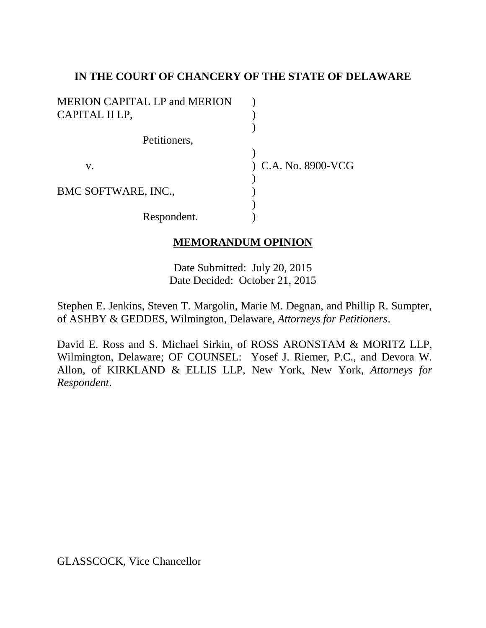## **IN THE COURT OF CHANCERY OF THE STATE OF DELAWARE**

| <b>MERION CAPITAL LP and MERION</b> |                       |
|-------------------------------------|-----------------------|
| CAPITAL II LP,                      |                       |
|                                     |                       |
| Petitioners,                        |                       |
|                                     |                       |
| V.                                  | $)$ C.A. No. 8900-VCG |
|                                     |                       |
| BMC SOFTWARE, INC.,                 |                       |
|                                     |                       |
| Respondent.                         |                       |

# **MEMORANDUM OPINION**

Date Submitted: July 20, 2015 Date Decided: October 21, 2015

Stephen E. Jenkins, Steven T. Margolin, Marie M. Degnan, and Phillip R. Sumpter, of ASHBY & GEDDES, Wilmington, Delaware, *Attorneys for Petitioners*.

David E. Ross and S. Michael Sirkin, of ROSS ARONSTAM & MORITZ LLP, Wilmington, Delaware; OF COUNSEL: Yosef J. Riemer, P.C., and Devora W. Allon, of KIRKLAND & ELLIS LLP, New York, New York, *Attorneys for Respondent*.

GLASSCOCK, Vice Chancellor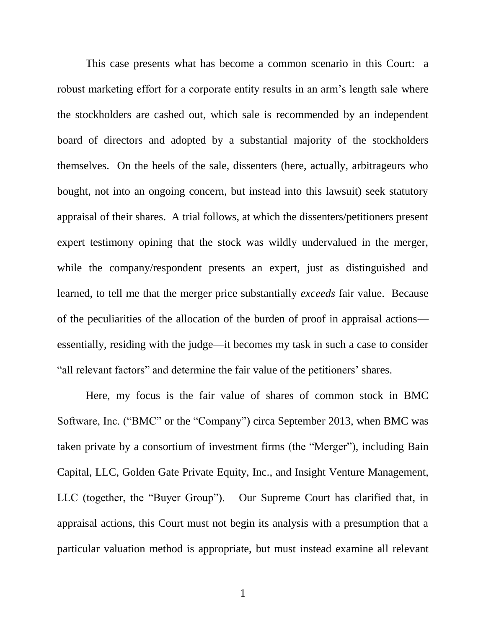This case presents what has become a common scenario in this Court: a robust marketing effort for a corporate entity results in an arm's length sale where the stockholders are cashed out, which sale is recommended by an independent board of directors and adopted by a substantial majority of the stockholders themselves. On the heels of the sale, dissenters (here, actually, arbitrageurs who bought, not into an ongoing concern, but instead into this lawsuit) seek statutory appraisal of their shares. A trial follows, at which the dissenters/petitioners present expert testimony opining that the stock was wildly undervalued in the merger, while the company/respondent presents an expert, just as distinguished and learned, to tell me that the merger price substantially *exceeds* fair value. Because of the peculiarities of the allocation of the burden of proof in appraisal actions essentially, residing with the judge—it becomes my task in such a case to consider "all relevant factors" and determine the fair value of the petitioners' shares.

Here, my focus is the fair value of shares of common stock in BMC Software, Inc. ("BMC" or the "Company") circa September 2013, when BMC was taken private by a consortium of investment firms (the "Merger"), including Bain Capital, LLC, Golden Gate Private Equity, Inc., and Insight Venture Management, LLC (together, the "Buyer Group"). Our Supreme Court has clarified that, in appraisal actions, this Court must not begin its analysis with a presumption that a particular valuation method is appropriate, but must instead examine all relevant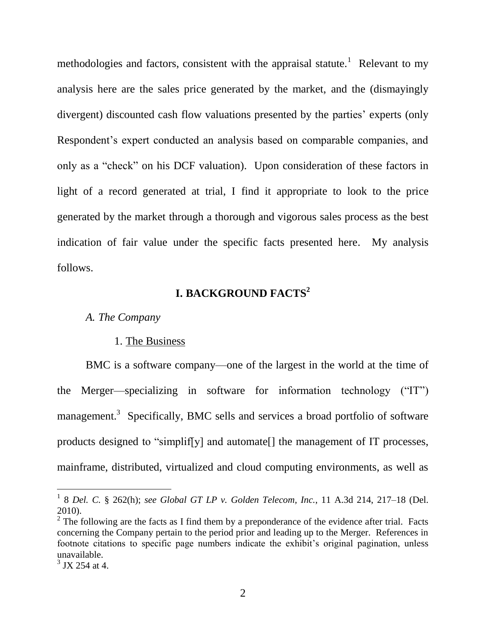methodologies and factors, consistent with the appraisal statute.<sup>1</sup> Relevant to my analysis here are the sales price generated by the market, and the (dismayingly divergent) discounted cash flow valuations presented by the parties' experts (only Respondent's expert conducted an analysis based on comparable companies, and only as a "check" on his DCF valuation). Upon consideration of these factors in light of a record generated at trial, I find it appropriate to look to the price generated by the market through a thorough and vigorous sales process as the best indication of fair value under the specific facts presented here. My analysis follows.

# **I. BACKGROUND FACTS<sup>2</sup>**

#### *A. The Company*

#### 1. The Business

BMC is a software company—one of the largest in the world at the time of the Merger—specializing in software for information technology  $("IT")$ management.<sup>3</sup> Specifically, BMC sells and services a broad portfolio of software products designed to "simplif[y] and automate[] the management of IT processes, mainframe, distributed, virtualized and cloud computing environments, as well as

 1 8 *Del. C.* § 262(h); *see Global GT LP v. Golden Telecom, Inc.*, 11 A.3d 214, 217–18 (Del. 2010).

 $2^2$  The following are the facts as I find them by a preponderance of the evidence after trial. Facts concerning the Company pertain to the period prior and leading up to the Merger. References in footnote citations to specific page numbers indicate the exhibit's original pagination, unless unavailable.

 $3$  JX 254 at 4.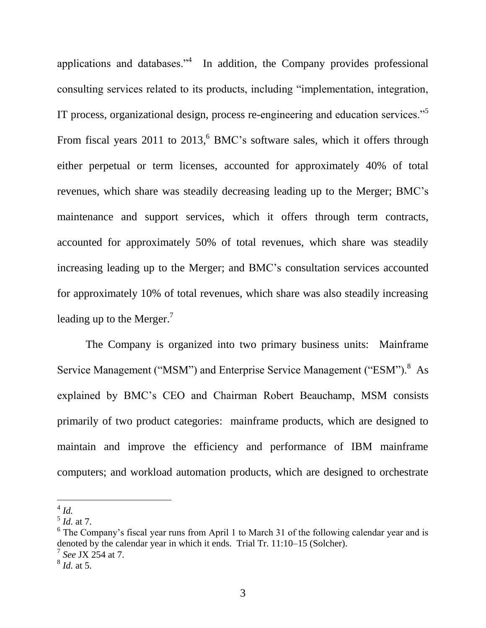applications and databases.<sup> $34$ </sup> In addition, the Company provides professional consulting services related to its products, including "implementation, integration, IT process, organizational design, process re-engineering and education services."<sup>5</sup> From fiscal years 2011 to 2013,<sup>6</sup> BMC's software sales, which it offers through either perpetual or term licenses, accounted for approximately 40% of total revenues, which share was steadily decreasing leading up to the Merger; BMC's maintenance and support services, which it offers through term contracts, accounted for approximately 50% of total revenues, which share was steadily increasing leading up to the Merger; and BMC's consultation services accounted for approximately 10% of total revenues, which share was also steadily increasing leading up to the Merger.<sup>7</sup>

The Company is organized into two primary business units: Mainframe Service Management ("MSM") and Enterprise Service Management ("ESM").<sup>8</sup> As explained by BMC's CEO and Chairman Robert Beauchamp, MSM consists primarily of two product categories: mainframe products, which are designed to maintain and improve the efficiency and performance of IBM mainframe computers; and workload automation products, which are designed to orchestrate

 $\overline{a}$ 4 *Id.*

<sup>5</sup> *Id.* at 7.

<sup>&</sup>lt;sup>6</sup> The Company's fiscal year runs from April 1 to March 31 of the following calendar year and is denoted by the calendar year in which it ends. Trial Tr. 11:10–15 (Solcher). 7

*See* JX 254 at 7.

<sup>8</sup> *Id.* at 5.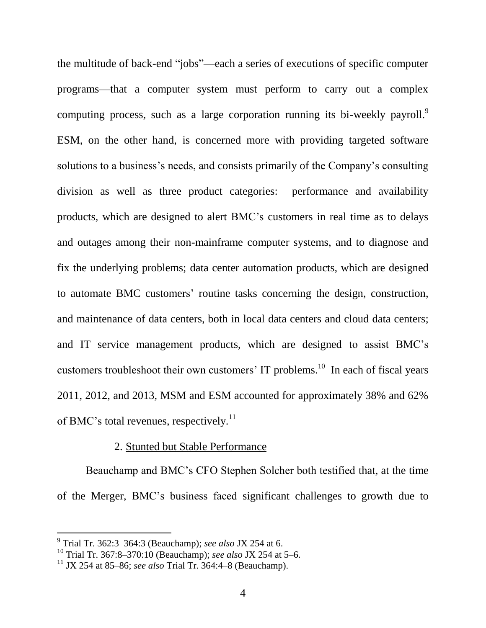the multitude of back-end "jobs"—each a series of executions of specific computer programs—that a computer system must perform to carry out a complex computing process, such as a large corporation running its bi-weekly payroll.<sup>9</sup> ESM, on the other hand, is concerned more with providing targeted software solutions to a business's needs, and consists primarily of the Company's consulting division as well as three product categories: performance and availability products, which are designed to alert BMC's customers in real time as to delays and outages among their non-mainframe computer systems, and to diagnose and fix the underlying problems; data center automation products, which are designed to automate BMC customers' routine tasks concerning the design, construction, and maintenance of data centers, both in local data centers and cloud data centers; and IT service management products, which are designed to assist BMC's customers troubleshoot their own customers' IT problems.<sup>10</sup> In each of fiscal years 2011, 2012, and 2013, MSM and ESM accounted for approximately 38% and 62% of BMC's total revenues, respectively.<sup>11</sup>

### 2. Stunted but Stable Performance

Beauchamp and BMC's CFO Stephen Solcher both testified that, at the time of the Merger, BMC's business faced significant challenges to growth due to

 9 Trial Tr. 362:3–364:3 (Beauchamp); *see also* JX 254 at 6.

<sup>10</sup> Trial Tr. 367:8–370:10 (Beauchamp); *see also* JX 254 at 5–6.

<sup>11</sup> JX 254 at 85–86; *see also* Trial Tr. 364:4–8 (Beauchamp).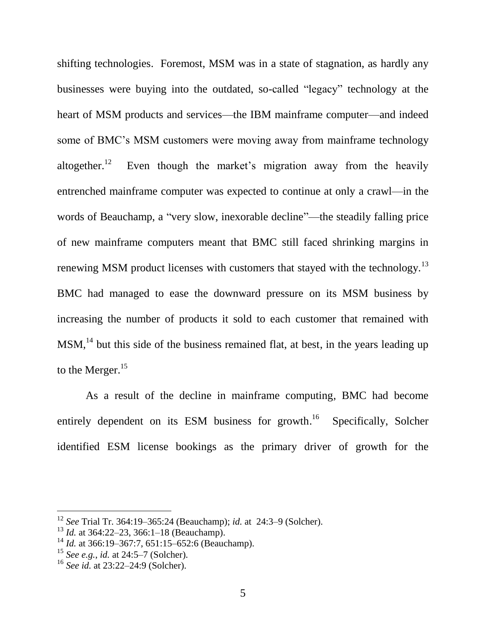shifting technologies. Foremost, MSM was in a state of stagnation, as hardly any businesses were buying into the outdated, so-called "legacy" technology at the heart of MSM products and services—the IBM mainframe computer—and indeed some of BMC's MSM customers were moving away from mainframe technology altogether.<sup>12</sup> Even though the market's migration away from the heavily entrenched mainframe computer was expected to continue at only a crawl—in the words of Beauchamp, a "very slow, inexorable decline"—the steadily falling price of new mainframe computers meant that BMC still faced shrinking margins in renewing MSM product licenses with customers that stayed with the technology.<sup>13</sup> BMC had managed to ease the downward pressure on its MSM business by increasing the number of products it sold to each customer that remained with MSM,<sup>14</sup> but this side of the business remained flat, at best, in the years leading up to the Merger.<sup>15</sup>

As a result of the decline in mainframe computing, BMC had become entirely dependent on its ESM business for growth.<sup>16</sup> Specifically, Solcher identified ESM license bookings as the primary driver of growth for the

<sup>12</sup> *See* Trial Tr. 364:19–365:24 (Beauchamp); *id.* at 24:3–9 (Solcher).

<sup>&</sup>lt;sup>13</sup> *Id.* at 364:22–23, 366:1–18 (Beauchamp).

<sup>14</sup> *Id.* at 366:19–367:7, 651:15–652:6 (Beauchamp).

<sup>15</sup> *See e.g.*, *id.* at 24:5–7 (Solcher).

<sup>16</sup> *See id.* at 23:22–24:9 (Solcher).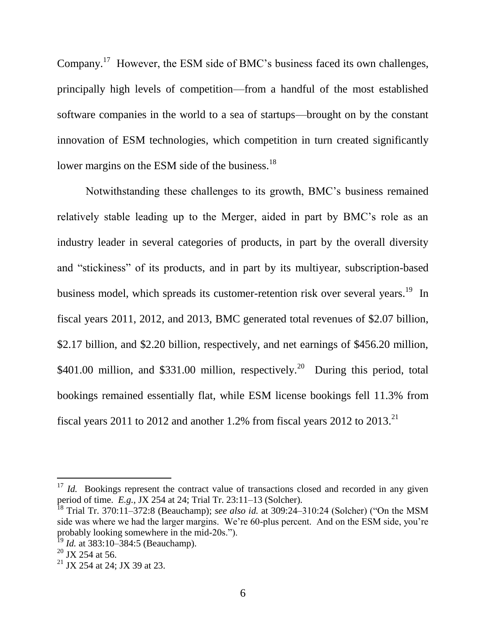Company.<sup>17</sup> However, the ESM side of BMC's business faced its own challenges, principally high levels of competition—from a handful of the most established software companies in the world to a sea of startups—brought on by the constant innovation of ESM technologies, which competition in turn created significantly lower margins on the ESM side of the business.<sup>18</sup>

Notwithstanding these challenges to its growth, BMC's business remained relatively stable leading up to the Merger, aided in part by BMC's role as an industry leader in several categories of products, in part by the overall diversity and "stickiness" of its products, and in part by its multiyear, subscription-based business model, which spreads its customer-retention risk over several years.<sup>19</sup> In fiscal years 2011, 2012, and 2013, BMC generated total revenues of \$2.07 billion, \$2.17 billion, and \$2.20 billion, respectively, and net earnings of \$456.20 million, \$401.00 million, and \$331.00 million, respectively.<sup>20</sup> During this period, total bookings remained essentially flat, while ESM license bookings fell 11.3% from fiscal years 2011 to 2012 and another 1.2% from fiscal years 2012 to  $2013$ <sup>21</sup>

<sup>&</sup>lt;sup>17</sup> *Id.* Bookings represent the contract value of transactions closed and recorded in any given period of time. *E.g.*, JX 254 at 24; Trial Tr. 23:11–13 (Solcher).

<sup>&</sup>lt;sup>18</sup> Trial Tr. 370:11–372:8 (Beauchamp); *see also id.* at 309:24–310:24 (Solcher) ("On the MSM side was where we had the larger margins. We're 60-plus percent. And on the ESM side, you're probably looking somewhere in the mid-20s.").

<sup>19</sup> *Id.* at 383:10–384:5 (Beauchamp).

 $20$  JX 254 at 56.

<sup>&</sup>lt;sup>21</sup> JX 254 at 24; JX 39 at 23.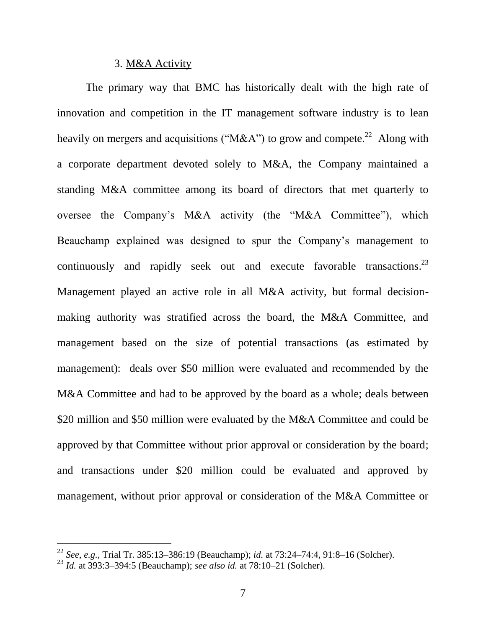### 3. M&A Activity

The primary way that BMC has historically dealt with the high rate of innovation and competition in the IT management software industry is to lean heavily on mergers and acquisitions ("M&A") to grow and compete.<sup>22</sup> Along with a corporate department devoted solely to M&A, the Company maintained a standing M&A committee among its board of directors that met quarterly to oversee the Company's M&A activity (the "M&A Committee"), which Beauchamp explained was designed to spur the Company's management to continuously and rapidly seek out and execute favorable transactions.<sup>23</sup> Management played an active role in all M&A activity, but formal decisionmaking authority was stratified across the board, the M&A Committee, and management based on the size of potential transactions (as estimated by management): deals over \$50 million were evaluated and recommended by the M&A Committee and had to be approved by the board as a whole; deals between \$20 million and \$50 million were evaluated by the M&A Committee and could be approved by that Committee without prior approval or consideration by the board; and transactions under \$20 million could be evaluated and approved by management, without prior approval or consideration of the M&A Committee or

<sup>22</sup> *See*, *e.g.*, Trial Tr. 385:13–386:19 (Beauchamp); *id.* at 73:24–74:4, 91:8–16 (Solcher).

<sup>23</sup> *Id.* at 393:3–394:5 (Beauchamp); *see also id.* at 78:10–21 (Solcher).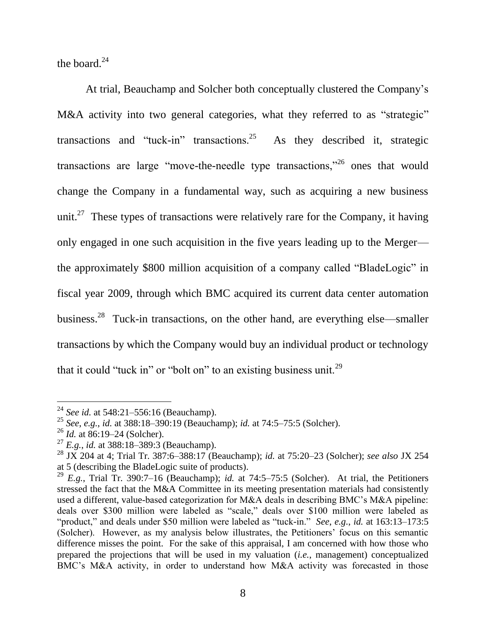the board. $^{24}$ 

At trial, Beauchamp and Solcher both conceptually clustered the Company's M&A activity into two general categories, what they referred to as "strategic" transactions and "tuck-in" transactions. $25$  As they described it, strategic transactions are large "move-the-needle type transactions,"<sup>26</sup> ones that would change the Company in a fundamental way, such as acquiring a new business unit.<sup>27</sup> These types of transactions were relatively rare for the Company, it having only engaged in one such acquisition in the five years leading up to the Merger the approximately \$800 million acquisition of a company called "BladeLogic" in fiscal year 2009, through which BMC acquired its current data center automation business.<sup>28</sup> Tuck-in transactions, on the other hand, are everything else—smaller transactions by which the Company would buy an individual product or technology that it could "tuck in" or "bolt on" to an existing business unit.<sup>29</sup>

<sup>24</sup> *See id.* at 548:21–556:16 (Beauchamp).

<sup>25</sup> *See*, *e.g.*, *id.* at 388:18–390:19 (Beauchamp); *id.* at 74:5–75:5 (Solcher).

<sup>26</sup> *Id.* at 86:19–24 (Solcher).

<sup>27</sup> *E.g.*, *id.* at 388:18–389:3 (Beauchamp).

<sup>28</sup> JX 204 at 4; Trial Tr. 387:6–388:17 (Beauchamp); *id.* at 75:20–23 (Solcher); *see also* JX 254 at 5 (describing the BladeLogic suite of products).

<sup>29</sup> *E.g.*, Trial Tr. 390:7–16 (Beauchamp); *id.* at 74:5–75:5 (Solcher). At trial, the Petitioners stressed the fact that the M&A Committee in its meeting presentation materials had consistently used a different, value-based categorization for M&A deals in describing BMC's M&A pipeline: deals over \$300 million were labeled as "scale," deals over \$100 million were labeled as "product," and deals under \$50 million were labeled as "tuck-in." *See*, *e.g.*, *id.* at 163:13–173:5 (Solcher). However, as my analysis below illustrates, the Petitioners' focus on this semantic difference misses the point. For the sake of this appraisal, I am concerned with how those who prepared the projections that will be used in my valuation (*i.e.*, management) conceptualized BMC's M&A activity, in order to understand how M&A activity was forecasted in those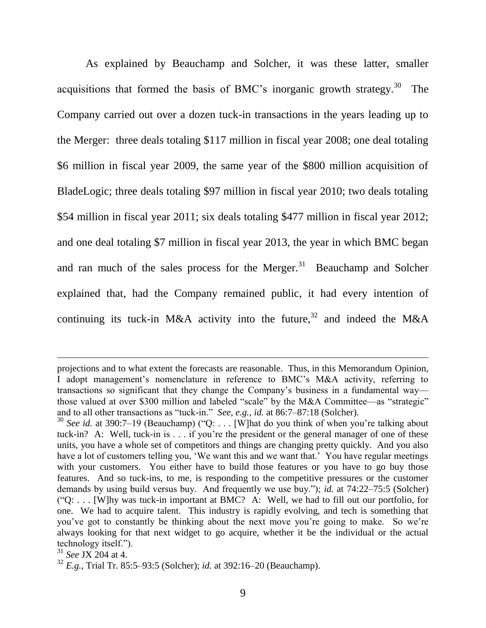As explained by Beauchamp and Solcher, it was these latter, smaller acquisitions that formed the basis of BMC's inorganic growth strategy.<sup>30</sup> The Company carried out over a dozen tuck-in transactions in the years leading up to the Merger: three deals totaling \$117 million in fiscal year 2008; one deal totaling \$6 million in fiscal year 2009, the same year of the \$800 million acquisition of BladeLogic; three deals totaling \$97 million in fiscal year 2010; two deals totaling \$54 million in fiscal year 2011; six deals totaling \$477 million in fiscal year 2012; and one deal totaling \$7 million in fiscal year 2013, the year in which BMC began and ran much of the sales process for the Merger. $31$  Beauchamp and Solcher explained that, had the Company remained public, it had every intention of continuing its tuck-in M&A activity into the future,<sup>32</sup> and indeed the M&A

projections and to what extent the forecasts are reasonable. Thus, in this Memorandum Opinion, I adopt management's nomenclature in reference to BMC's M&A activity, referring to transactions so significant that they change the Company's business in a fundamental way those valued at over \$300 million and labeled "scale" by the M&A Committee—as "strategic" and to all other transactions as "tuck-in." *See*, *e.g.*, *id.* at 86:7–87:18 (Solcher).

 $30$  *See id.* at 390:7–19 (Beauchamp) ("Q: ... [W] hat do you think of when you're talking about tuck-in? A: Well, tuck-in is . . . if you're the president or the general manager of one of these units, you have a whole set of competitors and things are changing pretty quickly. And you also have a lot of customers telling you, 'We want this and we want that.' You have regular meetings with your customers. You either have to build those features or you have to go buy those features. And so tuck-ins, to me, is responding to the competitive pressures or the customer demands by using build versus buy. And frequently we use buy."); *id.* at 74:22–75:5 (Solcher)  $(°Q: \ldots$  [W]hy was tuck-in important at BMC? A: Well, we had to fill out our portfolio, for one. We had to acquire talent. This industry is rapidly evolving, and tech is something that you've got to constantly be thinking about the next move you're going to make. So we're always looking for that next widget to go acquire, whether it be the individual or the actual technology itself.").

<sup>31</sup> *See* JX 204 at 4.

<sup>32</sup> *E.g.*, Trial Tr. 85:5–93:5 (Solcher); *id.* at 392:16–20 (Beauchamp).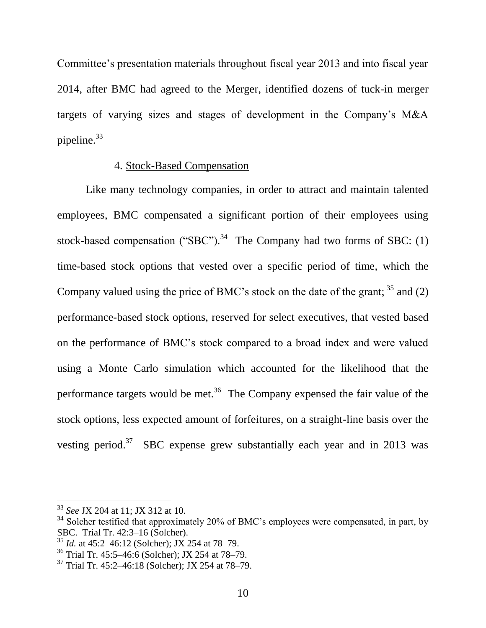Committee's presentation materials throughout fiscal year 2013 and into fiscal year 2014, after BMC had agreed to the Merger, identified dozens of tuck-in merger targets of varying sizes and stages of development in the Company's M&A pipeline.<sup>33</sup>

### 4. Stock-Based Compensation

Like many technology companies, in order to attract and maintain talented employees, BMC compensated a significant portion of their employees using stock-based compensation ("SBC").<sup>34</sup> The Company had two forms of SBC: (1) time-based stock options that vested over a specific period of time, which the Company valued using the price of BMC's stock on the date of the grant;  $35$  and (2) performance-based stock options, reserved for select executives, that vested based on the performance of BMC's stock compared to a broad index and were valued using a Monte Carlo simulation which accounted for the likelihood that the performance targets would be met.<sup>36</sup> The Company expensed the fair value of the stock options, less expected amount of forfeitures, on a straight-line basis over the vesting period.<sup>37</sup> SBC expense grew substantially each year and in 2013 was

<sup>33</sup> *See* JX 204 at 11; JX 312 at 10.

<sup>&</sup>lt;sup>34</sup> Solcher testified that approximately 20% of BMC's employees were compensated, in part, by SBC. Trial Tr. 42:3–16 (Solcher).

<sup>35</sup> *Id.* at 45:2–46:12 (Solcher); JX 254 at 78–79.

<sup>36</sup> Trial Tr. 45:5–46:6 (Solcher); JX 254 at 78–79.

<sup>37</sup> Trial Tr. 45:2–46:18 (Solcher); JX 254 at 78–79.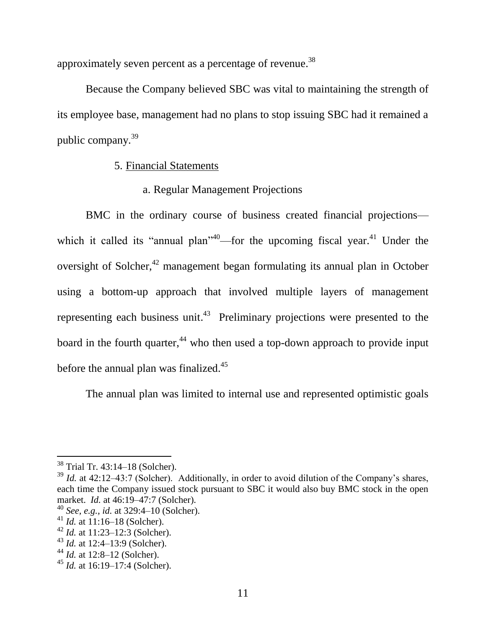approximately seven percent as a percentage of revenue.<sup>38</sup>

Because the Company believed SBC was vital to maintaining the strength of its employee base, management had no plans to stop issuing SBC had it remained a public company.<sup>39</sup>

## 5. Financial Statements

## a. Regular Management Projections

BMC in the ordinary course of business created financial projections which it called its "annual plan"<sup>40</sup>—for the upcoming fiscal year.<sup>41</sup> Under the oversight of Solcher,<sup>42</sup> management began formulating its annual plan in October using a bottom-up approach that involved multiple layers of management representing each business unit.<sup>43</sup> Preliminary projections were presented to the board in the fourth quarter,  $44$  who then used a top-down approach to provide input before the annual plan was finalized.<sup>45</sup>

The annual plan was limited to internal use and represented optimistic goals

<sup>38</sup> Trial Tr. 43:14–18 (Solcher).

 $39$  *Id.* at 42:12–43:7 (Solcher). Additionally, in order to avoid dilution of the Company's shares, each time the Company issued stock pursuant to SBC it would also buy BMC stock in the open market. *Id.* at 46:19–47:7 (Solcher).

<sup>40</sup> *See, e.g., id.* at 329:4–10 (Solcher).

<sup>41</sup> *Id.* at 11:16–18 (Solcher).

<sup>42</sup> *Id.* at 11:23–12:3 (Solcher).

<sup>43</sup> *Id.* at 12:4–13:9 (Solcher).

<sup>44</sup> *Id.* at 12:8–12 (Solcher).

<sup>45</sup> *Id.* at 16:19–17:4 (Solcher).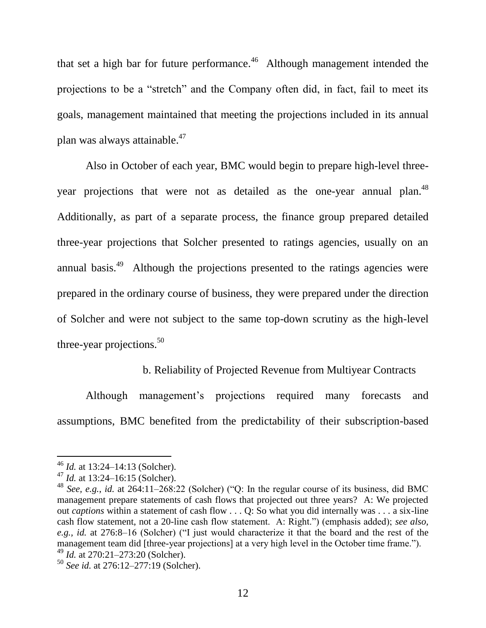that set a high bar for future performance.<sup>46</sup> Although management intended the projections to be a "stretch" and the Company often did, in fact, fail to meet its goals, management maintained that meeting the projections included in its annual plan was always attainable.<sup>47</sup>

Also in October of each year, BMC would begin to prepare high-level threeyear projections that were not as detailed as the one-year annual plan.<sup>48</sup> Additionally, as part of a separate process, the finance group prepared detailed three-year projections that Solcher presented to ratings agencies, usually on an annual basis.<sup>49</sup> Although the projections presented to the ratings agencies were prepared in the ordinary course of business, they were prepared under the direction of Solcher and were not subject to the same top-down scrutiny as the high-level three-year projections. $50$ 

## b. Reliability of Projected Revenue from Multiyear Contracts

Although management's projections required many forecasts and assumptions, BMC benefited from the predictability of their subscription-based

<sup>46</sup> *Id.* at 13:24–14:13 (Solcher).

<sup>&</sup>lt;sup>47</sup> *Id.* at 13:24–16:15 (Solcher).

 $^{48}$  *See, e.g., id.* at 264:11–268:22 (Solcher) (O: In the regular course of its business, did BMC management prepare statements of cash flows that projected out three years? A: We projected out *captions* within a statement of cash flow . . . Q: So what you did internally was . . . a six-line cash flow statement, not a 20-line cash flow statement. A: Right.") (emphasis added); *see also*, e.g., id. at 276:8–16 (Solcher) ("I just would characterize it that the board and the rest of the management team did [three-year projections] at a very high level in the October time frame."). <sup>49</sup> *Id.* at 270:21–273:20 (Solcher).

<sup>50</sup> *See id.* at 276:12–277:19 (Solcher).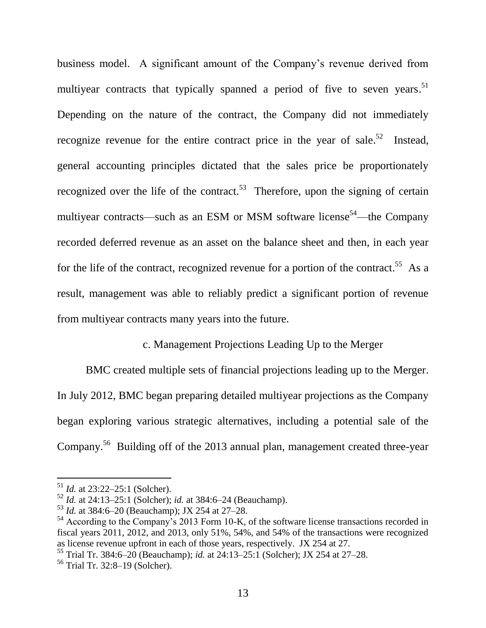business model. A significant amount of the Company's revenue derived from multiyear contracts that typically spanned a period of five to seven years.<sup>51</sup> Depending on the nature of the contract, the Company did not immediately recognize revenue for the entire contract price in the year of sale.<sup>52</sup> Instead, general accounting principles dictated that the sales price be proportionately recognized over the life of the contract.<sup>53</sup> Therefore, upon the signing of certain multiyear contracts—such as an ESM or MSM software license<sup>54</sup>—the Company recorded deferred revenue as an asset on the balance sheet and then, in each year for the life of the contract, recognized revenue for a portion of the contract.<sup>55</sup> As a result, management was able to reliably predict a significant portion of revenue from multiyear contracts many years into the future.

## c. Management Projections Leading Up to the Merger

BMC created multiple sets of financial projections leading up to the Merger. In July 2012, BMC began preparing detailed multiyear projections as the Company began exploring various strategic alternatives, including a potential sale of the Company.<sup>56</sup> Building off of the 2013 annual plan, management created three-year

<sup>51</sup> *Id.* at 23:22–25:1 (Solcher).

<sup>52</sup> *Id.* at 24:13–25:1 (Solcher); *id.* at 384:6–24 (Beauchamp).

<sup>53</sup> *Id.* at 384:6–20 (Beauchamp); JX 254 at 27–28.

<sup>&</sup>lt;sup>54</sup> According to the Company's 2013 Form 10-K, of the software license transactions recorded in fiscal years 2011, 2012, and 2013, only 51%, 54%, and 54% of the transactions were recognized as license revenue upfront in each of those years, respectively. JX 254 at 27.

<sup>55</sup> Trial Tr. 384:6–20 (Beauchamp); *id.* at 24:13–25:1 (Solcher); JX 254 at 27–28.

<sup>56</sup> Trial Tr. 32:8–19 (Solcher).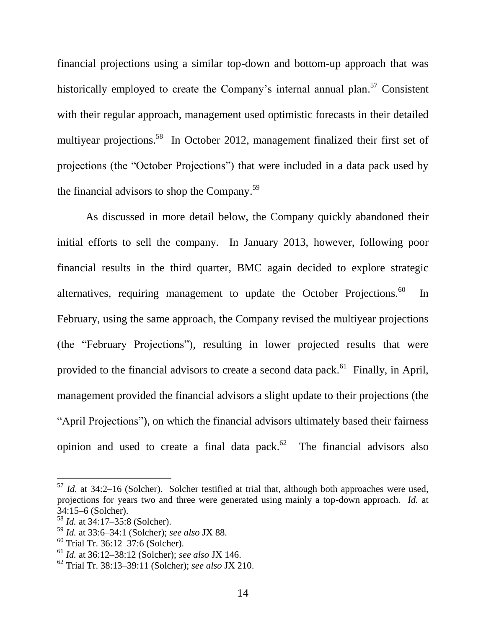financial projections using a similar top-down and bottom-up approach that was historically employed to create the Company's internal annual plan.<sup>57</sup> Consistent with their regular approach, management used optimistic forecasts in their detailed multiyear projections.<sup>58</sup> In October 2012, management finalized their first set of projections (the "October Projections") that were included in a data pack used by the financial advisors to shop the Company.<sup>59</sup>

As discussed in more detail below, the Company quickly abandoned their initial efforts to sell the company. In January 2013, however, following poor financial results in the third quarter, BMC again decided to explore strategic alternatives, requiring management to update the October Projections.<sup>60</sup> In February, using the same approach, the Company revised the multiyear projections (the "February Projections"), resulting in lower projected results that were provided to the financial advisors to create a second data pack.<sup>61</sup> Finally, in April, management provided the financial advisors a slight update to their projections (the "April Projections"), on which the financial advisors ultimately based their fairness opinion and used to create a final data pack. $62$  The financial advisors also

 $57$  *Id.* at 34:2–16 (Solcher). Solcher testified at trial that, although both approaches were used, projections for years two and three were generated using mainly a top-down approach. *Id.* at 34:15–6 (Solcher).

<sup>58</sup> *Id.* at 34:17–35:8 (Solcher).

<sup>59</sup> *Id.* at 33:6–34:1 (Solcher); *see also* JX 88.

 $60$  Trial Tr. 36:12–37:6 (Solcher).

<sup>61</sup> *Id.* at 36:12–38:12 (Solcher); *see also* JX 146.

<sup>62</sup> Trial Tr. 38:13–39:11 (Solcher); *see also* JX 210.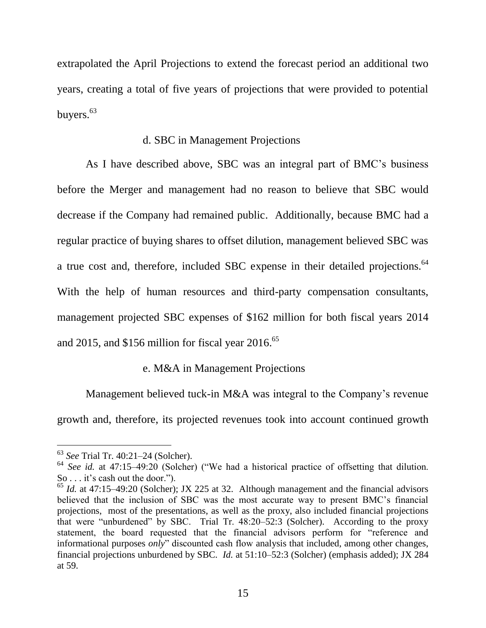extrapolated the April Projections to extend the forecast period an additional two years, creating a total of five years of projections that were provided to potential buyers.<sup>63</sup>

### d. SBC in Management Projections

As I have described above, SBC was an integral part of BMC's business before the Merger and management had no reason to believe that SBC would decrease if the Company had remained public. Additionally, because BMC had a regular practice of buying shares to offset dilution, management believed SBC was a true cost and, therefore, included SBC expense in their detailed projections.<sup>64</sup> With the help of human resources and third-party compensation consultants, management projected SBC expenses of \$162 million for both fiscal years 2014 and 2015, and \$156 million for fiscal year  $2016$ .<sup>65</sup>

## e. M&A in Management Projections

Management believed tuck-in M&A was integral to the Company's revenue growth and, therefore, its projected revenues took into account continued growth

<sup>63</sup> *See* Trial Tr. 40:21–24 (Solcher).

 $64$  *See id.* at 47:15–49:20 (Solcher) ("We had a historical practice of offsetting that dilution. So . . . it's cash out the door.").

<sup>65</sup> *Id.* at 47:15–49:20 (Solcher); JX 225 at 32. Although management and the financial advisors believed that the inclusion of SBC was the most accurate way to present BMC's financial projections, most of the presentations, as well as the proxy, also included financial projections that were "unburdened" by SBC. Trial Tr.  $48:20-52:3$  (Solcher). According to the proxy statement, the board requested that the financial advisors perform for "reference and informational purposes *only*" discounted cash flow analysis that included, among other changes, financial projections unburdened by SBC. *Id.* at 51:10–52:3 (Solcher) (emphasis added); JX 284 at 59.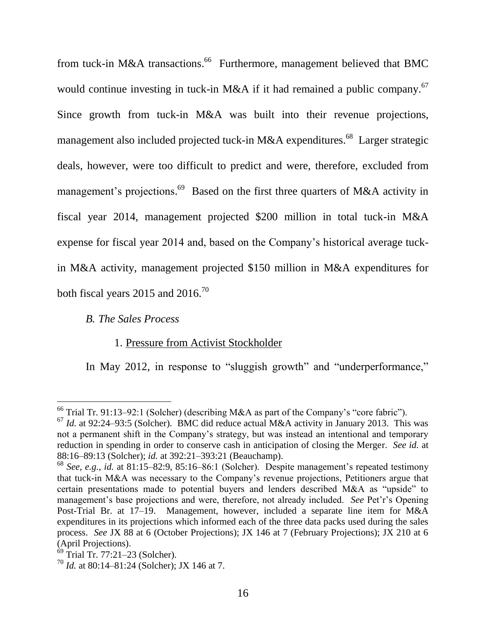from tuck-in M&A transactions.<sup>66</sup> Furthermore, management believed that BMC would continue investing in tuck-in M&A if it had remained a public company.<sup>67</sup> Since growth from tuck-in M&A was built into their revenue projections, management also included projected tuck-in M&A expenditures.<sup>68</sup> Larger strategic deals, however, were too difficult to predict and were, therefore, excluded from management's projections.<sup>69</sup> Based on the first three quarters of M&A activity in fiscal year 2014, management projected \$200 million in total tuck-in M&A expense for fiscal year 2014 and, based on the Company's historical average tuckin M&A activity, management projected \$150 million in M&A expenditures for both fiscal years 2015 and  $2016.^{70}$ 

### *B. The Sales Process*

## 1. Pressure from Activist Stockholder

In May 2012, in response to "sluggish growth" and "underperformance,"

 $\overline{a}$ <sup>66</sup> Trial Tr. 91:13–92:1 (Solcher) (describing M&A as part of the Company's "core fabric").

 $^{67}$  *Id.* at 92:24–93:5 (Solcher). BMC did reduce actual M&A activity in January 2013. This was not a permanent shift in the Company's strategy, but was instead an intentional and temporary reduction in spending in order to conserve cash in anticipation of closing the Merger. *See id.* at 88:16–89:13 (Solcher); *id.* at 392:21–393:21 (Beauchamp).

<sup>68</sup> *See, e.g.*, *id.* at 81:15–82:9, 85:16–86:1 (Solcher). Despite management's repeated testimony that tuck-in M&A was necessary to the Company's revenue projections, Petitioners argue that certain presentations made to potential buyers and lenders described M&A as "upside" to management's base projections and were, therefore, not already included. *See* Pet'r's Opening Post-Trial Br. at 17–19. Management, however, included a separate line item for M&A expenditures in its projections which informed each of the three data packs used during the sales process. *See* JX 88 at 6 (October Projections); JX 146 at 7 (February Projections); JX 210 at 6 (April Projections).

 $69$  Trial Tr. 77:21–23 (Solcher).

<sup>70</sup> *Id.* at 80:14–81:24 (Solcher); JX 146 at 7.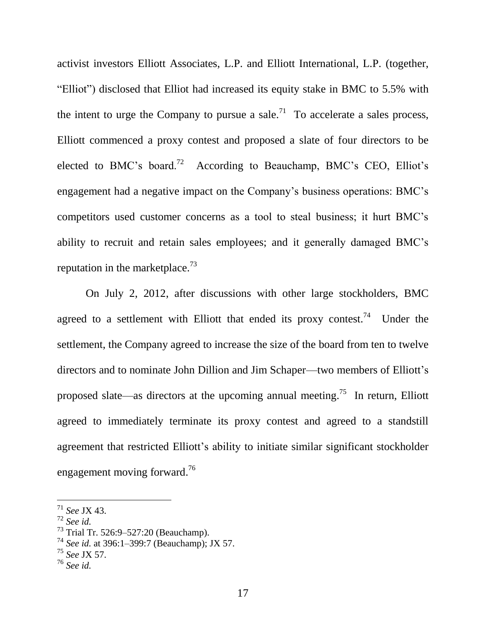activist investors Elliott Associates, L.P. and Elliott International, L.P. (together, "Elliot") disclosed that Elliot had increased its equity stake in BMC to 5.5% with the intent to urge the Company to pursue a sale.<sup>71</sup> To accelerate a sales process, Elliott commenced a proxy contest and proposed a slate of four directors to be elected to BMC's board.<sup>72</sup> According to Beauchamp, BMC's CEO, Elliot's engagement had a negative impact on the Company's business operations: BMC's competitors used customer concerns as a tool to steal business; it hurt BMC's ability to recruit and retain sales employees; and it generally damaged BMC's reputation in the market place.<sup>73</sup>

On July 2, 2012, after discussions with other large stockholders, BMC agreed to a settlement with Elliott that ended its proxy contest.<sup>74</sup> Under the settlement, the Company agreed to increase the size of the board from ten to twelve directors and to nominate John Dillion and Jim Schaper—two members of Elliott's proposed slate—as directors at the upcoming annual meeting.<sup>75</sup> In return, Elliott agreed to immediately terminate its proxy contest and agreed to a standstill agreement that restricted Elliott's ability to initiate similar significant stockholder engagement moving forward.<sup>76</sup>

<sup>71</sup> *See* JX 43.

<sup>72</sup> *See id.*

<sup>73</sup> Trial Tr. 526:9–527:20 (Beauchamp).

<sup>74</sup> *See id.* at 396:1–399:7 (Beauchamp); JX 57.

<sup>75</sup> *See* JX 57.

<sup>76</sup> *See id.*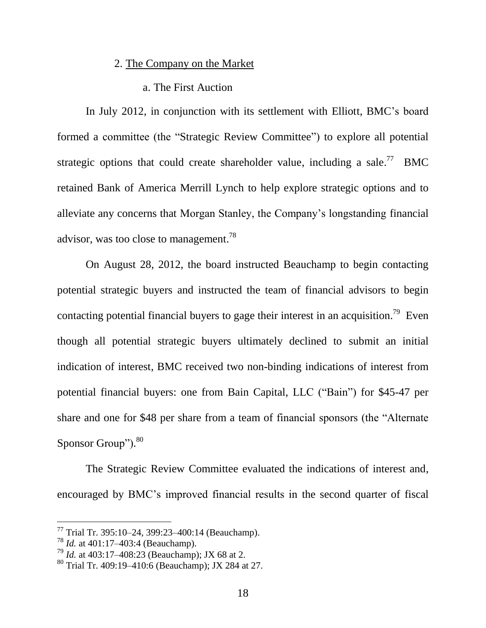#### 2. The Company on the Market

#### a. The First Auction

In July 2012, in conjunction with its settlement with Elliott, BMC's board formed a committee (the "Strategic Review Committee") to explore all potential strategic options that could create shareholder value, including a sale.<sup>77</sup> BMC retained Bank of America Merrill Lynch to help explore strategic options and to alleviate any concerns that Morgan Stanley, the Company's longstanding financial advisor, was too close to management.<sup>78</sup>

On August 28, 2012, the board instructed Beauchamp to begin contacting potential strategic buyers and instructed the team of financial advisors to begin contacting potential financial buyers to gage their interest in an acquisition.<sup>79</sup> Even though all potential strategic buyers ultimately declined to submit an initial indication of interest, BMC received two non-binding indications of interest from potential financial buyers: one from Bain Capital, LLC ("Bain") for \$45-47 per share and one for \$48 per share from a team of financial sponsors (the "Alternate") Sponsor Group").<sup>80</sup>

The Strategic Review Committee evaluated the indications of interest and, encouraged by BMC's improved financial results in the second quarter of fiscal

 $77$  Trial Tr. 395:10–24, 399:23–400:14 (Beauchamp).

<sup>78</sup> *Id.* at 401:17–403:4 (Beauchamp).

<sup>79</sup> *Id.* at 403:17–408:23 (Beauchamp); JX 68 at 2.

<sup>80</sup> Trial Tr. 409:19–410:6 (Beauchamp); JX 284 at 27.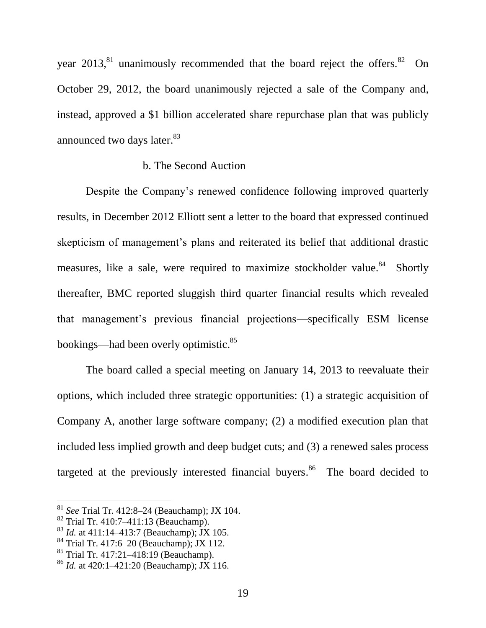year  $2013$ ,  $81$  unanimously recommended that the board reject the offers.  $82$  On October 29, 2012, the board unanimously rejected a sale of the Company and, instead, approved a \$1 billion accelerated share repurchase plan that was publicly announced two days later.<sup>83</sup>

# b. The Second Auction

Despite the Company's renewed confidence following improved quarterly results, in December 2012 Elliott sent a letter to the board that expressed continued skepticism of management's plans and reiterated its belief that additional drastic measures, like a sale, were required to maximize stockholder value.<sup>84</sup> Shortly thereafter, BMC reported sluggish third quarter financial results which revealed that management's previous financial projections—specifically ESM license bookings—had been overly optimistic.<sup>85</sup>

The board called a special meeting on January 14, 2013 to reevaluate their options, which included three strategic opportunities: (1) a strategic acquisition of Company A, another large software company; (2) a modified execution plan that included less implied growth and deep budget cuts; and (3) a renewed sales process targeted at the previously interested financial buyers.<sup>86</sup> The board decided to

<sup>81</sup> *See* Trial Tr. 412:8–24 (Beauchamp); JX 104.

<sup>82</sup> Trial Tr. 410:7–411:13 (Beauchamp).

<sup>83</sup> *Id.* at 411:14–413:7 (Beauchamp); JX 105.

 $84$  Trial Tr. 417:6–20 (Beauchamp); JX 112.

<sup>85</sup> Trial Tr. 417:21–418:19 (Beauchamp).

<sup>86</sup> *Id.* at 420:1–421:20 (Beauchamp); JX 116.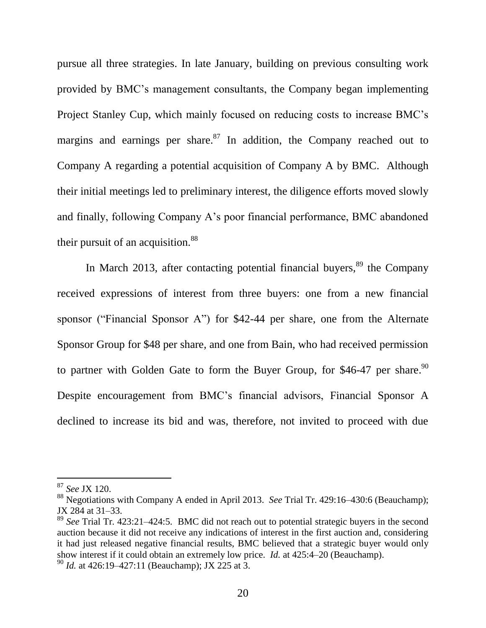pursue all three strategies. In late January, building on previous consulting work provided by BMC's management consultants, the Company began implementing Project Stanley Cup, which mainly focused on reducing costs to increase BMC's margins and earnings per share. $87$  In addition, the Company reached out to Company A regarding a potential acquisition of Company A by BMC. Although their initial meetings led to preliminary interest, the diligence efforts moved slowly and finally, following Company A's poor financial performance, BMC abandoned their pursuit of an acquisition. $88$ 

In March 2013, after contacting potential financial buyers,  $89$  the Company received expressions of interest from three buyers: one from a new financial sponsor ("Financial Sponsor A") for  $$42-44$  per share, one from the Alternate Sponsor Group for \$48 per share, and one from Bain, who had received permission to partner with Golden Gate to form the Buyer Group, for \$46-47 per share.<sup>90</sup> Despite encouragement from BMC's financial advisors, Financial Sponsor A declined to increase its bid and was, therefore, not invited to proceed with due

<sup>87</sup> *See* JX 120.

<sup>88</sup> Negotiations with Company A ended in April 2013. *See* Trial Tr. 429:16–430:6 (Beauchamp); JX 284 at 31–33.

<sup>89</sup> *See* Trial Tr. 423:21–424:5. BMC did not reach out to potential strategic buyers in the second auction because it did not receive any indications of interest in the first auction and, considering it had just released negative financial results, BMC believed that a strategic buyer would only show interest if it could obtain an extremely low price. *Id.* at 425:4–20 (Beauchamp).

<sup>90</sup> *Id.* at 426:19–427:11 (Beauchamp); JX 225 at 3.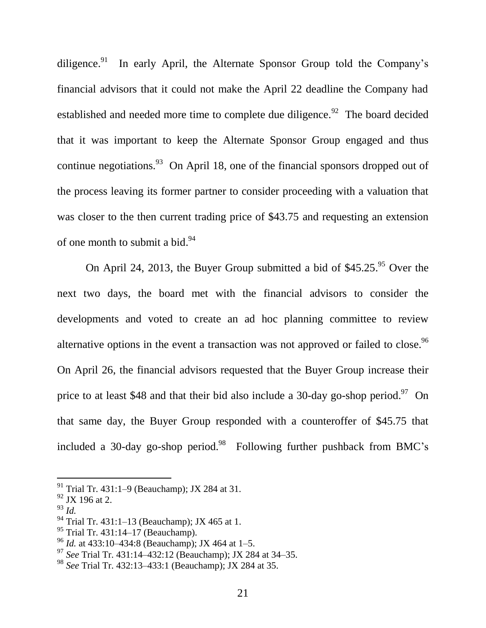diligence.<sup>91</sup> In early April, the Alternate Sponsor Group told the Company's financial advisors that it could not make the April 22 deadline the Company had established and needed more time to complete due diligence.<sup>92</sup> The board decided that it was important to keep the Alternate Sponsor Group engaged and thus continue negotiations.  $93$  On April 18, one of the financial sponsors dropped out of the process leaving its former partner to consider proceeding with a valuation that was closer to the then current trading price of \$43.75 and requesting an extension of one month to submit a bid.<sup>94</sup>

On April 24, 2013, the Buyer Group submitted a bid of  $$45.25.^{95}$  Over the next two days, the board met with the financial advisors to consider the developments and voted to create an ad hoc planning committee to review alternative options in the event a transaction was not approved or failed to close.<sup>96</sup> On April 26, the financial advisors requested that the Buyer Group increase their price to at least \$48 and that their bid also include a 30-day go-shop period.<sup>97</sup> On that same day, the Buyer Group responded with a counteroffer of \$45.75 that included a 30-day go-shop period.<sup>98</sup> Following further pushback from BMC's

<sup>&</sup>lt;sup>91</sup> Trial Tr. 431:1–9 (Beauchamp); JX 284 at 31.

<sup>92</sup> JX 196 at 2.

<sup>93</sup> *Id.*

<sup>94</sup> Trial Tr. 431:1–13 (Beauchamp); JX 465 at 1.

<sup>95</sup> Trial Tr. 431:14–17 (Beauchamp).

<sup>96</sup> *Id.* at 433:10–434:8 (Beauchamp); JX 464 at 1–5.

<sup>97</sup> *See* Trial Tr. 431:14–432:12 (Beauchamp); JX 284 at 34–35.

<sup>98</sup> *See* Trial Tr. 432:13–433:1 (Beauchamp); JX 284 at 35.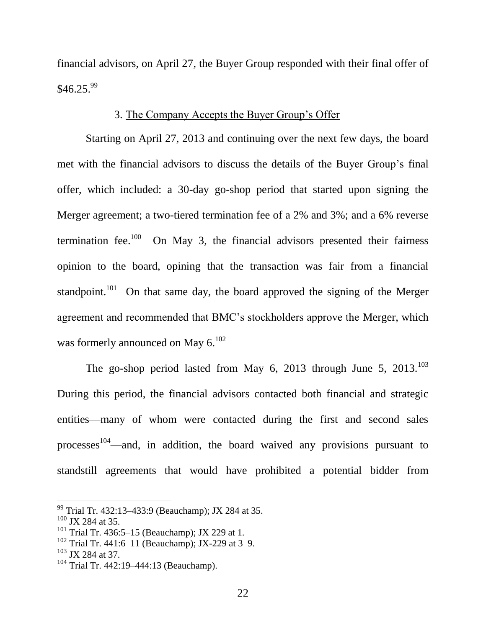financial advisors, on April 27, the Buyer Group responded with their final offer of  $$46.25.<sup>99</sup>$ 

## 3. The Company Accepts the Buyer Group's Offer

Starting on April 27, 2013 and continuing over the next few days, the board met with the financial advisors to discuss the details of the Buyer Group's final offer, which included: a 30-day go-shop period that started upon signing the Merger agreement; a two-tiered termination fee of a 2% and 3%; and a 6% reverse termination fee.<sup>100</sup> On May 3, the financial advisors presented their fairness opinion to the board, opining that the transaction was fair from a financial standpoint.<sup>101</sup> On that same day, the board approved the signing of the Merger agreement and recommended that BMC's stockholders approve the Merger, which was formerly announced on May 6.<sup>102</sup>

The go-shop period lasted from May 6, 2013 through June 5, 2013.<sup>103</sup> During this period, the financial advisors contacted both financial and strategic entities—many of whom were contacted during the first and second sales processes<sup>104</sup>—and, in addition, the board waived any provisions pursuant to standstill agreements that would have prohibited a potential bidder from

<sup>99</sup> Trial Tr. 432:13–433:9 (Beauchamp); JX 284 at 35.

 $100$  JX 284 at 35.

<sup>&</sup>lt;sup>101</sup> Trial Tr. 436:5–15 (Beauchamp); JX 229 at 1.

 $102$  Trial Tr. 441:6–11 (Beauchamp); JX-229 at 3–9.

 $103$  JX 284 at 37.

 $104$  Trial Tr. 442:19–444:13 (Beauchamp).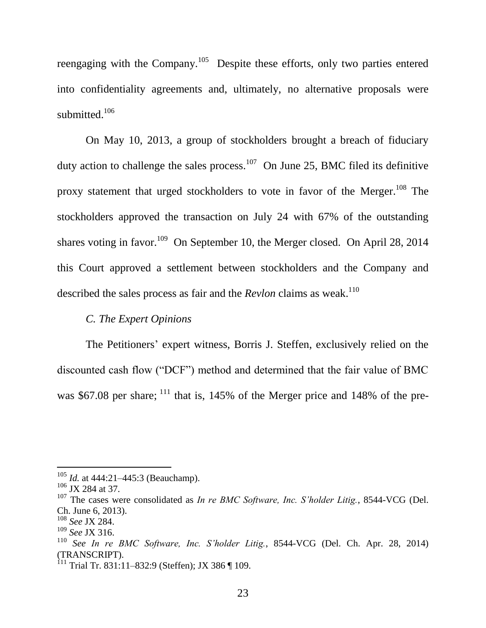reengaging with the Company.<sup>105</sup> Despite these efforts, only two parties entered into confidentiality agreements and, ultimately, no alternative proposals were submitted.<sup>106</sup>

On May 10, 2013, a group of stockholders brought a breach of fiduciary duty action to challenge the sales process.<sup>107</sup> On June 25, BMC filed its definitive proxy statement that urged stockholders to vote in favor of the Merger.<sup>108</sup> The stockholders approved the transaction on July 24 with 67% of the outstanding shares voting in favor.<sup>109</sup> On September 10, the Merger closed. On April 28, 2014 this Court approved a settlement between stockholders and the Company and described the sales process as fair and the *Revlon* claims as weak.<sup>110</sup>

## *C. The Expert Opinions*

The Petitioners' expert witness, Borris J. Steffen, exclusively relied on the discounted cash flow ("DCF") method and determined that the fair value of BMC was \$67.08 per share;  $^{111}$  that is, 145% of the Merger price and 148% of the pre-

<sup>105</sup> *Id.* at 444:21–445:3 (Beauchamp).

 $106$  JX 284 at 37.

<sup>107</sup> The cases were consolidated as *In re BMC Software, Inc. S'holder Litig.*, 8544-VCG (Del. Ch. June 6, 2013).

<sup>108</sup> *See* JX 284.

<sup>109</sup> *See* JX 316.

<sup>110</sup> *See In re BMC Software, Inc. S'holder Litig.*, 8544-VCG (Del. Ch. Apr. 28, 2014) (TRANSCRIPT).

<sup>&</sup>lt;sup>111</sup> Trial Tr. 831:11–832:9 (Steffen); JX 386  $\P$  109.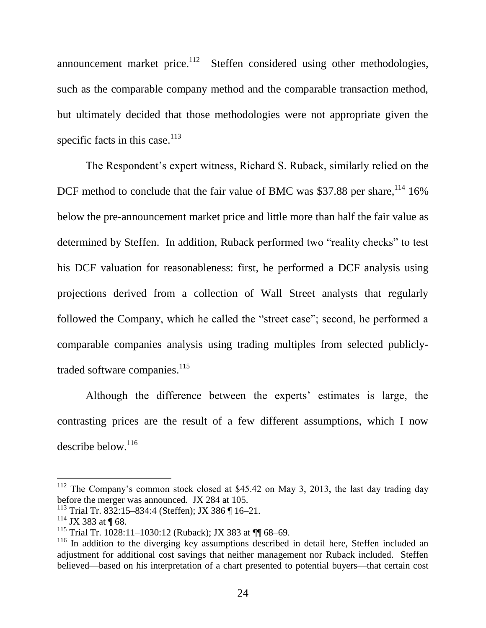announcement market price. $112$  Steffen considered using other methodologies, such as the comparable company method and the comparable transaction method, but ultimately decided that those methodologies were not appropriate given the specific facts in this case. $113$ 

The Respondent's expert witness, Richard S. Ruback, similarly relied on the DCF method to conclude that the fair value of BMC was \$37.88 per share,  $114$  16% below the pre-announcement market price and little more than half the fair value as determined by Steffen. In addition, Ruback performed two "reality checks" to test his DCF valuation for reasonableness: first, he performed a DCF analysis using projections derived from a collection of Wall Street analysts that regularly followed the Company, which he called the "street case"; second, he performed a comparable companies analysis using trading multiples from selected publiclytraded software companies.<sup>115</sup>

Although the difference between the experts' estimates is large, the contrasting prices are the result of a few different assumptions, which I now describe below. $116$ 

 $112$  The Company's common stock closed at \$45.42 on May 3, 2013, the last day trading day before the merger was announced. JX 284 at 105.

<sup>113</sup> Trial Tr. 832:15–834:4 (Steffen); JX 386 ¶ 16–21.

 $114$  JX 383 at ¶ 68.

<sup>115</sup> Trial Tr. 1028:11–1030:12 (Ruback); JX 383 at ¶¶ 68–69.

 $116$  In addition to the diverging key assumptions described in detail here, Steffen included an adjustment for additional cost savings that neither management nor Ruback included. Steffen believed—based on his interpretation of a chart presented to potential buyers—that certain cost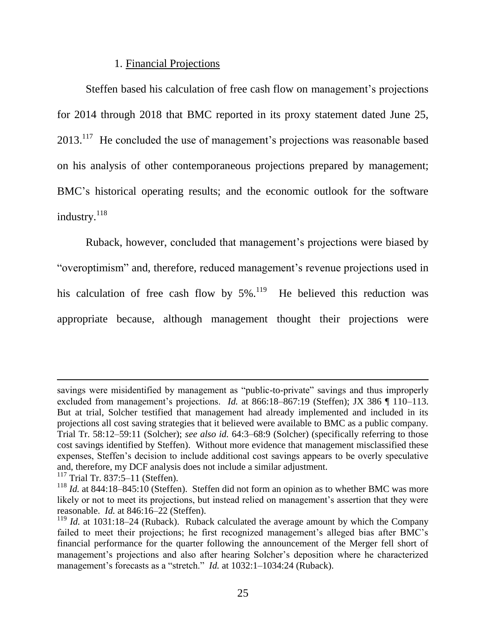### 1. Financial Projections

Steffen based his calculation of free cash flow on management's projections for 2014 through 2018 that BMC reported in its proxy statement dated June 25,  $2013$ <sup>117</sup> He concluded the use of management's projections was reasonable based on his analysis of other contemporaneous projections prepared by management; BMC's historical operating results; and the economic outlook for the software industry.<sup>118</sup>

Ruback, however, concluded that management's projections were biased by ―overoptimism‖ and, therefore, reduced management's revenue projections used in his calculation of free cash flow by  $5\%$ .<sup>119</sup> He believed this reduction was appropriate because, although management thought their projections were

savings were misidentified by management as "public-to-private" savings and thus improperly excluded from management's projections. *Id.* at 866:18–867:19 (Steffen); JX 386 ¶ 110–113. But at trial, Solcher testified that management had already implemented and included in its projections all cost saving strategies that it believed were available to BMC as a public company. Trial Tr. 58:12–59:11 (Solcher); *see also id.* 64:3–68:9 (Solcher) (specifically referring to those cost savings identified by Steffen). Without more evidence that management misclassified these expenses, Steffen's decision to include additional cost savings appears to be overly speculative and, therefore, my DCF analysis does not include a similar adjustment.

<sup>&</sup>lt;sup>117</sup> Trial Tr. 837:5–11 (Steffen).

<sup>118</sup> *Id.* at 844:18–845:10 (Steffen). Steffen did not form an opinion as to whether BMC was more likely or not to meet its projections, but instead relied on management's assertion that they were reasonable. *Id.* at 846:16–22 (Steffen).

 $119$  *Id.* at 1031:18–24 (Ruback). Ruback calculated the average amount by which the Company failed to meet their projections; he first recognized management's alleged bias after BMC's financial performance for the quarter following the announcement of the Merger fell short of management's projections and also after hearing Solcher's deposition where he characterized management's forecasts as a "stretch." *Id.* at 1032:1-1034:24 (Ruback).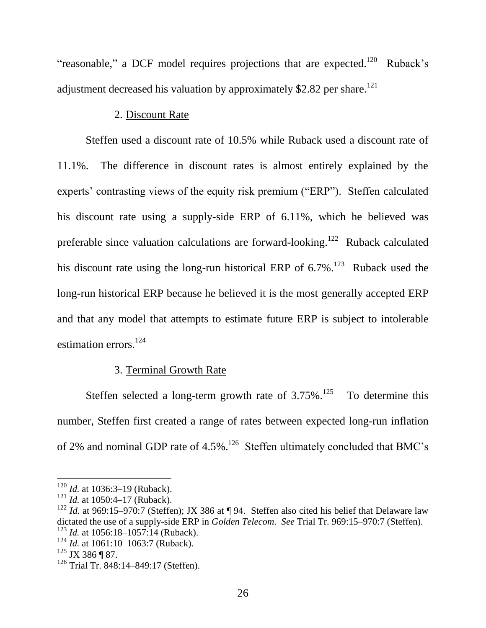"reasonable," a DCF model requires projections that are expected.<sup>120</sup> Ruback's adjustment decreased his valuation by approximately \$2.82 per share.<sup>121</sup>

### 2. Discount Rate

Steffen used a discount rate of 10.5% while Ruback used a discount rate of 11.1%. The difference in discount rates is almost entirely explained by the experts' contrasting views of the equity risk premium ("ERP"). Steffen calculated his discount rate using a supply-side ERP of 6.11%, which he believed was preferable since valuation calculations are forward-looking.<sup>122</sup> Ruback calculated his discount rate using the long-run historical ERP of  $6.7\%$ <sup>123</sup> Ruback used the long-run historical ERP because he believed it is the most generally accepted ERP and that any model that attempts to estimate future ERP is subject to intolerable estimation errors. 124

## 3. Terminal Growth Rate

Steffen selected a long-term growth rate of  $3.75\%$ .<sup>125</sup> To determine this number, Steffen first created a range of rates between expected long-run inflation of 2% and nominal GDP rate of  $4.5\%$ .<sup>126</sup> Steffen ultimately concluded that BMC's

<sup>120</sup> *Id.* at 1036:3–19 (Ruback).

<sup>&</sup>lt;sup>121</sup> *Id.* at 1050:4-17 (Ruback).

<sup>&</sup>lt;sup>122</sup> *Id.* at 969:15–970:7 (Steffen); JX 386 at ¶ 94. Steffen also cited his belief that Delaware law dictated the use of a supply-side ERP in *Golden Telecom*. *See* Trial Tr. 969:15–970:7 (Steffen). <sup>123</sup> *Id.* at 1056:18–1057:14 (Ruback).

<sup>&</sup>lt;sup>124</sup> *Id.* at 1061:10–1063:7 (Ruback).

 $125$  JX 386 ¶ 87.

<sup>&</sup>lt;sup>126</sup> Trial Tr. 848:14–849:17 (Steffen).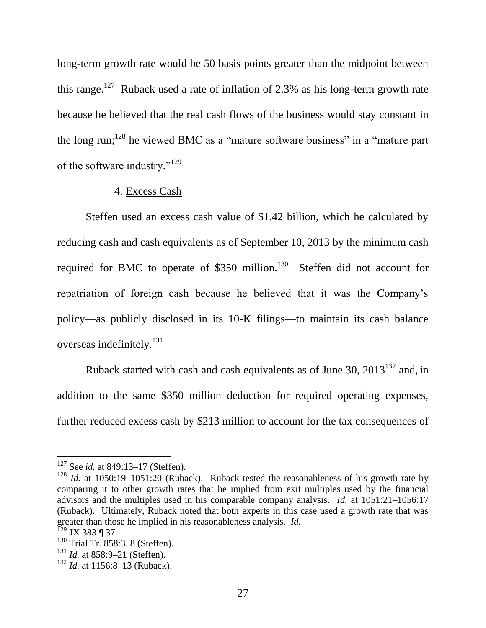long-term growth rate would be 50 basis points greater than the midpoint between this range.<sup>127</sup> Ruback used a rate of inflation of 2.3% as his long-term growth rate because he believed that the real cash flows of the business would stay constant in the long run;<sup>128</sup> he viewed BMC as a "mature software business" in a "mature part of the software industry."<sup>129</sup>

#### 4. Excess Cash

Steffen used an excess cash value of \$1.42 billion, which he calculated by reducing cash and cash equivalents as of September 10, 2013 by the minimum cash required for BMC to operate of \$350 million.<sup>130</sup> Steffen did not account for repatriation of foreign cash because he believed that it was the Company's policy—as publicly disclosed in its 10-K filings—to maintain its cash balance overseas indefinitely.<sup>131</sup>

Ruback started with cash and cash equivalents as of June 30,  $2013^{132}$  and, in addition to the same \$350 million deduction for required operating expenses, further reduced excess cash by \$213 million to account for the tax consequences of

<sup>&</sup>lt;sup>127</sup> See *id.* at 849:13–17 (Steffen).

<sup>&</sup>lt;sup>128</sup> *Id.* at 1050:19–1051:20 (Ruback). Ruback tested the reasonableness of his growth rate by comparing it to other growth rates that he implied from exit multiples used by the financial advisors and the multiples used in his comparable company analysis. *Id.* at 1051:21–1056:17 (Ruback). Ultimately, Ruback noted that both experts in this case used a growth rate that was greater than those he implied in his reasonableness analysis. *Id.*

 $^{129}$  JX 383 ¶ 37.

<sup>130</sup> Trial Tr. 858:3–8 (Steffen).

<sup>&</sup>lt;sup>131</sup> *Id.* at 858:9–21 (Steffen).

<sup>&</sup>lt;sup>132</sup> *Id.* at 1156:8–13 (Ruback).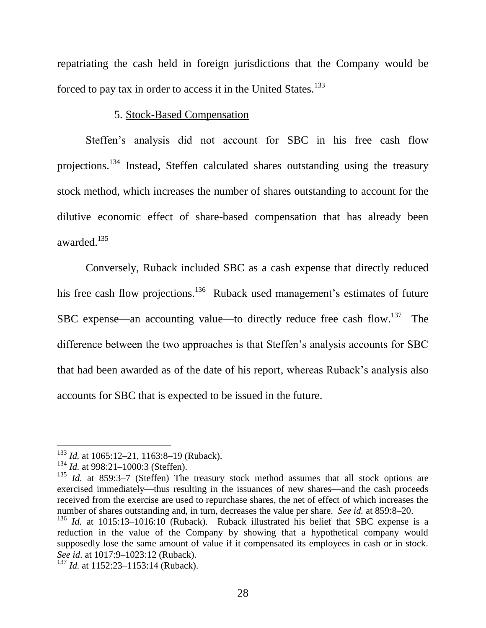repatriating the cash held in foreign jurisdictions that the Company would be forced to pay tax in order to access it in the United States.<sup>133</sup>

### 5. Stock-Based Compensation

Steffen's analysis did not account for SBC in his free cash flow projections.<sup>134</sup> Instead, Steffen calculated shares outstanding using the treasury stock method, which increases the number of shares outstanding to account for the dilutive economic effect of share-based compensation that has already been awarded. 135

Conversely, Ruback included SBC as a cash expense that directly reduced his free cash flow projections.<sup>136</sup> Ruback used management's estimates of future SBC expense—an accounting value—to directly reduce free cash flow.<sup>137</sup> The difference between the two approaches is that Steffen's analysis accounts for SBC that had been awarded as of the date of his report, whereas Ruback's analysis also accounts for SBC that is expected to be issued in the future.

<sup>&</sup>lt;sup>133</sup> *Id.* at 1065:12–21, 1163:8–19 (Ruback).

<sup>&</sup>lt;sup>134</sup> *Id.* at 998:21–1000:3 (Steffen).

<sup>&</sup>lt;sup>135</sup> *Id.* at 859:3–7 (Steffen) The treasury stock method assumes that all stock options are exercised immediately—thus resulting in the issuances of new shares—and the cash proceeds received from the exercise are used to repurchase shares, the net of effect of which increases the number of shares outstanding and, in turn, decreases the value per share. *See id.* at 859:8–20.

<sup>&</sup>lt;sup>136</sup> *Id.* at 1015:13–1016:10 (Ruback). Ruback illustrated his belief that SBC expense is a reduction in the value of the Company by showing that a hypothetical company would supposedly lose the same amount of value if it compensated its employees in cash or in stock. *See id*. at 1017:9–1023:12 (Ruback).

<sup>&</sup>lt;sup>137</sup> *Id.* at 1152:23–1153:14 (Ruback).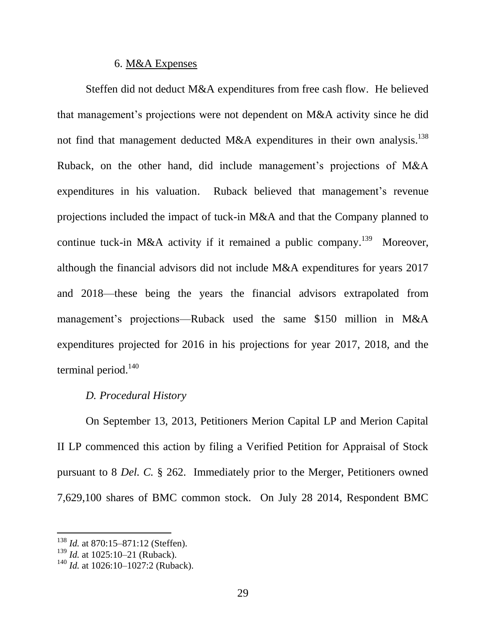#### 6. M&A Expenses

Steffen did not deduct M&A expenditures from free cash flow. He believed that management's projections were not dependent on M&A activity since he did not find that management deducted M&A expenditures in their own analysis.<sup>138</sup> Ruback, on the other hand, did include management's projections of M&A expenditures in his valuation. Ruback believed that management's revenue projections included the impact of tuck-in M&A and that the Company planned to continue tuck-in M&A activity if it remained a public company.<sup>139</sup> Moreover, although the financial advisors did not include M&A expenditures for years 2017 and 2018—these being the years the financial advisors extrapolated from management's projections—Ruback used the same \$150 million in M&A expenditures projected for 2016 in his projections for year 2017, 2018, and the terminal period. $140$ 

# *D. Procedural History*

On September 13, 2013, Petitioners Merion Capital LP and Merion Capital II LP commenced this action by filing a Verified Petition for Appraisal of Stock pursuant to 8 *Del. C.* § 262. Immediately prior to the Merger, Petitioners owned 7,629,100 shares of BMC common stock. On July 28 2014, Respondent BMC

<sup>&</sup>lt;sup>138</sup> *Id.* at 870:15–871:12 (Steffen).

<sup>139</sup> *Id.* at 1025:10–21 (Ruback).

<sup>&</sup>lt;sup>140</sup> *Id.* at 1026:10–1027:2 (Ruback).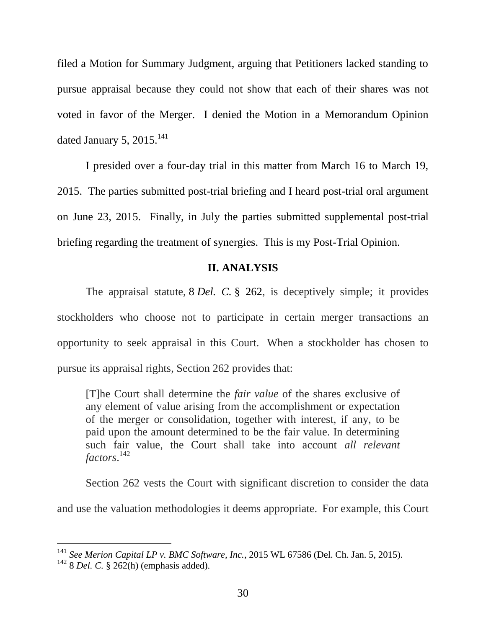filed a Motion for Summary Judgment, arguing that Petitioners lacked standing to pursue appraisal because they could not show that each of their shares was not voted in favor of the Merger. I denied the Motion in a Memorandum Opinion dated January 5, 2015. $^{141}$ 

I presided over a four-day trial in this matter from March 16 to March 19, 2015. The parties submitted post-trial briefing and I heard post-trial oral argument on June 23, 2015. Finally, in July the parties submitted supplemental post-trial briefing regarding the treatment of synergies. This is my Post-Trial Opinion.

## **II. ANALYSIS**

The appraisal statute, 8 *Del. C.* § 262, is deceptively simple; it provides stockholders who choose not to participate in certain merger transactions an opportunity to seek appraisal in this Court. When a stockholder has chosen to pursue its appraisal rights, Section 262 provides that:

[T]he Court shall determine the *fair value* of the shares exclusive of any element of value arising from the accomplishment or expectation of the merger or consolidation, together with interest, if any, to be paid upon the amount determined to be the fair value. In determining such fair value, the Court shall take into account *all relevant factors*. 142

Section 262 vests the Court with significant discretion to consider the data and use the valuation methodologies it deems appropriate. For example, this Court

<sup>141</sup> *See Merion Capital LP v. BMC Software, Inc.*, 2015 WL 67586 (Del. Ch. Jan. 5, 2015).

 $142$  8 *Del. C.* § 262(h) (emphasis added).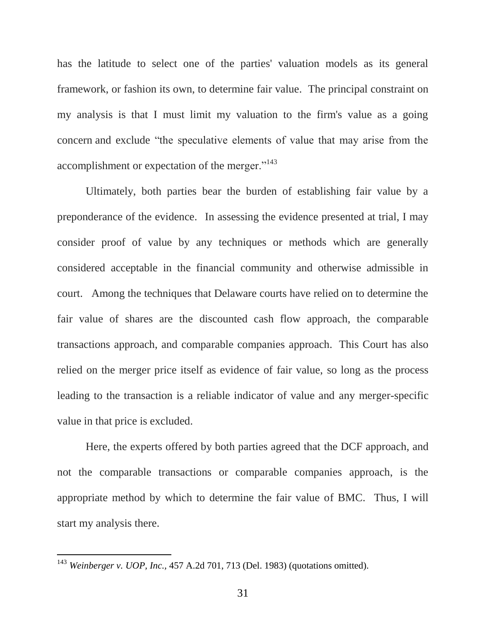has the latitude to select one of the parties' valuation models as its general framework, or fashion its own, to determine fair value. The principal constraint on my analysis is that I must limit my valuation to the firm's value as a going concern and exclude "the speculative elements of value that may arise from the accomplishment or expectation of the merger."<sup>143</sup>

Ultimately, both parties bear the burden of establishing fair value by a preponderance of the evidence. In assessing the evidence presented at trial, I may consider proof of value by any techniques or methods which are generally considered acceptable in the financial community and otherwise admissible in court. Among the techniques that Delaware courts have relied on to determine the fair value of shares are the discounted cash flow approach, the comparable transactions approach, and comparable companies approach. This Court has also relied on the merger price itself as evidence of fair value, so long as the process leading to the transaction is a reliable indicator of value and any merger-specific value in that price is excluded.

Here, the experts offered by both parties agreed that the DCF approach, and not the comparable transactions or comparable companies approach, is the appropriate method by which to determine the fair value of BMC. Thus, I will start my analysis there.

<sup>143</sup> *[Weinberger v. UOP, Inc.,](https://a.next.westlaw.com/Link/Document/FullText?findType=Y&serNum=1983112756&pubNum=0000162&originatingDoc=I0929d05b41b811e39ac8bab74931929c&refType=RP&fi=co_pp_sp_162_713&originationContext=document&transitionType=DocumentItem&contextData=(sc.History*oc.Default)#co_pp_sp_162_713)* 457 A.2d 701, 713 (Del. 1983) (quotations omitted).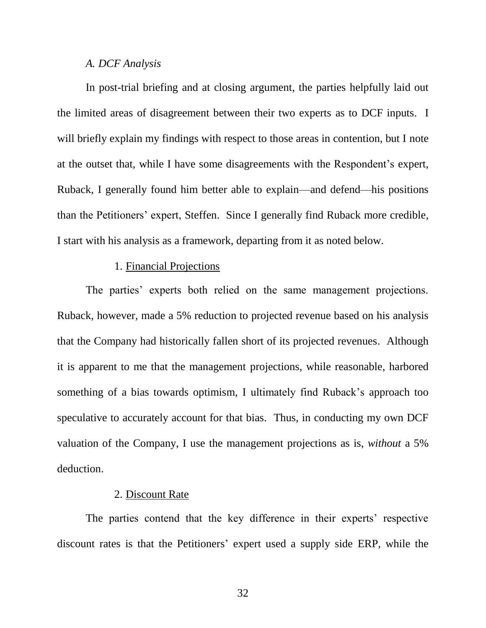#### *A. DCF Analysis*

In post-trial briefing and at closing argument, the parties helpfully laid out the limited areas of disagreement between their two experts as to DCF inputs. I will briefly explain my findings with respect to those areas in contention, but I note at the outset that, while I have some disagreements with the Respondent's expert, Ruback, I generally found him better able to explain—and defend—his positions than the Petitioners' expert, Steffen. Since I generally find Ruback more credible, I start with his analysis as a framework, departing from it as noted below.

### 1. Financial Projections

The parties' experts both relied on the same management projections. Ruback, however, made a 5% reduction to projected revenue based on his analysis that the Company had historically fallen short of its projected revenues. Although it is apparent to me that the management projections, while reasonable, harbored something of a bias towards optimism, I ultimately find Ruback's approach too speculative to accurately account for that bias. Thus, in conducting my own DCF valuation of the Company, I use the management projections as is, *without* a 5% deduction.

#### 2. Discount Rate

The parties contend that the key difference in their experts' respective discount rates is that the Petitioners' expert used a supply side ERP, while the

32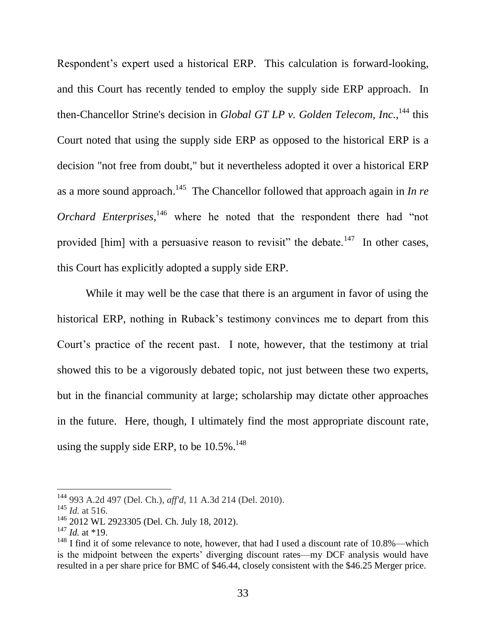Respondent's expert used a historical ERP. This calculation is forward-looking, and this Court has recently tended to employ the supply side ERP approach. In then-Chancellor Strine's decision in *Global GT LP v. Golden Telecom, Inc.*, <sup>144</sup> this Court noted that using the supply side ERP as opposed to the historical ERP is a decision "not free from doubt," but it nevertheless adopted it over a historical ERP as a more sound approach.<sup>145</sup> The Chancellor followed that approach again in *In re Orchard Enterprises*,<sup>146</sup> where he noted that the respondent there had "not provided [him] with a persuasive reason to revisit" the debate.<sup>147</sup> In other cases, this Court has explicitly adopted a supply side ERP.

While it may well be the case that there is an argument in favor of using the historical ERP, nothing in Ruback's testimony convinces me to depart from this Court's practice of the recent past. I note, however, that the testimony at trial showed this to be a vigorously debated topic, not just between these two experts, but in the financial community at large; scholarship may dictate other approaches in the future. Here, though, I ultimately find the most appropriate discount rate, using the supply side ERP, to be  $10.5\%$ <sup>148</sup>

<sup>144</sup> 993 A.2d 497 (Del. Ch.), *aff'd,* 11 A.3d 214 (Del. 2010).

<sup>145</sup> *Id.* at 516.

<sup>146</sup> 2012 WL 2923305 (Del. Ch. July 18, 2012).

 $^{147}$  *Id.* at \*19.

 $148$  I find it of some relevance to note, however, that had I used a discount rate of 10.8%—which is the midpoint between the experts' diverging discount rates—my DCF analysis would have resulted in a per share price for BMC of \$46.44, closely consistent with the \$46.25 Merger price.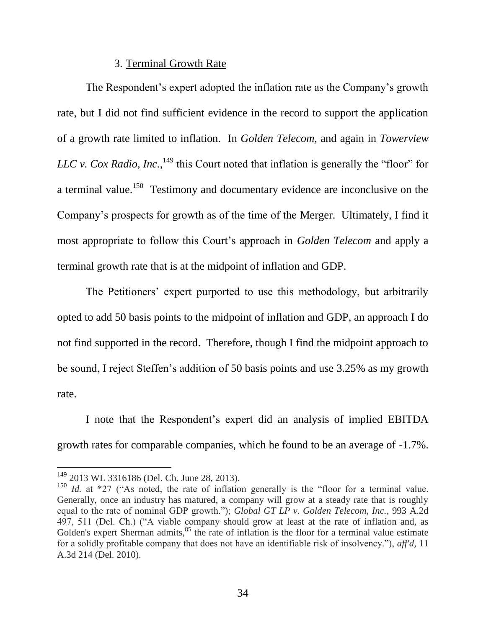### 3. Terminal Growth Rate

The Respondent's expert adopted the inflation rate as the Company's growth rate, but I did not find sufficient evidence in the record to support the application of a growth rate limited to inflation. In *Golden Telecom,* and again in *Towerview LLC v. Cox Radio, Inc.*,  $^{149}$  this Court noted that inflation is generally the "floor" for a terminal value.<sup>150</sup> Testimony and documentary evidence are inconclusive on the Company's prospects for growth as of the time of the Merger. Ultimately, I find it most appropriate to follow this Court's approach in *Golden Telecom* and apply a terminal growth rate that is at the midpoint of inflation and GDP.

The Petitioners' expert purported to use this methodology, but arbitrarily opted to add 50 basis points to the midpoint of inflation and GDP, an approach I do not find supported in the record. Therefore, though I find the midpoint approach to be sound, I reject Steffen's addition of 50 basis points and use 3.25% as my growth rate.

I note that the Respondent's expert did an analysis of implied EBITDA growth rates for comparable companies, which he found to be an average of -1.7%.

<sup>&</sup>lt;sup>149</sup> 2013 WL 3316186 (Del. Ch. June 28, 2013).

<sup>&</sup>lt;sup>150</sup> *Id.* at  $*27$  ("As noted, the rate of inflation generally is the "floor for a terminal value. Generally, once an industry has matured, a company will grow at a steady rate that is roughly equal to the rate of nominal GDP growth."); *Global GT LP v. Golden Telecom, Inc.*, 993 A.2d 497, 511 (Del. Ch.) ("A viable company should grow at least at the rate of inflation and, as Golden's expert Sherman admits,<sup>85</sup> the rate of inflation is the floor for a terminal value estimate for a solidly profitable company that does not have an identifiable risk of insolvency."), *aff'd*, 11 A.3d 214 (Del. 2010).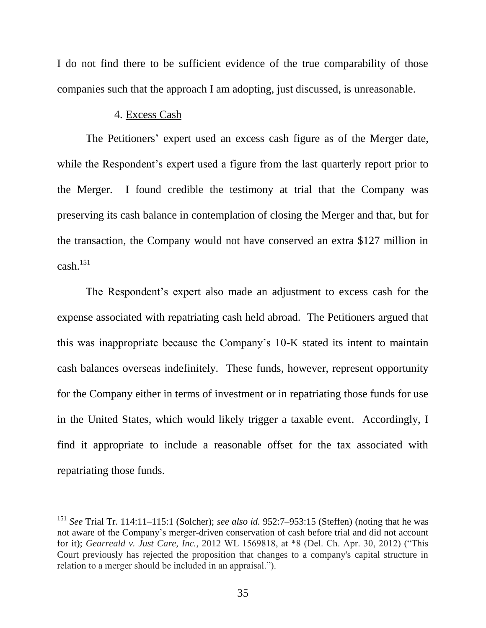I do not find there to be sufficient evidence of the true comparability of those companies such that the approach I am adopting, just discussed, is unreasonable.

### 4. Excess Cash

 $\overline{a}$ 

The Petitioners' expert used an excess cash figure as of the Merger date, while the Respondent's expert used a figure from the last quarterly report prior to the Merger. I found credible the testimony at trial that the Company was preserving its cash balance in contemplation of closing the Merger and that, but for the transaction, the Company would not have conserved an extra \$127 million in  $cash.$ <sup>151</sup>

The Respondent's expert also made an adjustment to excess cash for the expense associated with repatriating cash held abroad. The Petitioners argued that this was inappropriate because the Company's 10-K stated its intent to maintain cash balances overseas indefinitely. These funds, however, represent opportunity for the Company either in terms of investment or in repatriating those funds for use in the United States, which would likely trigger a taxable event. Accordingly, I find it appropriate to include a reasonable offset for the tax associated with repatriating those funds.

<sup>151</sup> *See* Trial Tr. 114:11–115:1 (Solcher); *see also id.* 952:7–953:15 (Steffen) (noting that he was not aware of the Company's merger-driven conservation of cash before trial and did not account for it); *Gearreald v. Just Care, Inc.*, 2012 WL 1569818, at \*8 (Del. Ch. Apr. 30, 2012) ("This Court previously has rejected the proposition that changes to a company's capital structure in relation to a merger should be included in an appraisal.").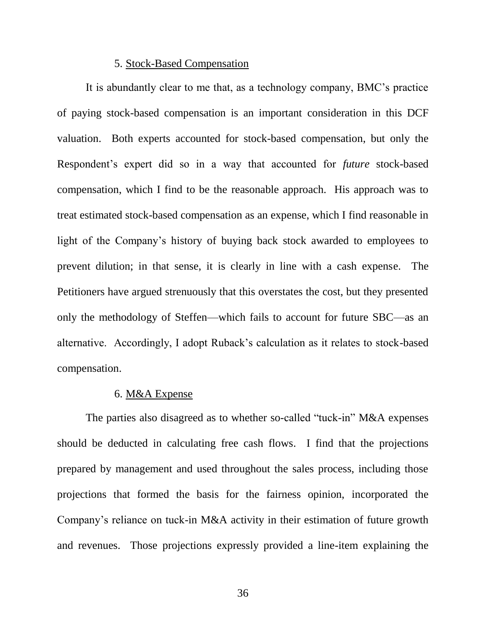#### 5. Stock-Based Compensation

It is abundantly clear to me that, as a technology company, BMC's practice of paying stock-based compensation is an important consideration in this DCF valuation. Both experts accounted for stock-based compensation, but only the Respondent's expert did so in a way that accounted for *future* stock-based compensation, which I find to be the reasonable approach. His approach was to treat estimated stock-based compensation as an expense, which I find reasonable in light of the Company's history of buying back stock awarded to employees to prevent dilution; in that sense, it is clearly in line with a cash expense. The Petitioners have argued strenuously that this overstates the cost, but they presented only the methodology of Steffen—which fails to account for future SBC—as an alternative. Accordingly, I adopt Ruback's calculation as it relates to stock-based compensation.

#### 6. M&A Expense

The parties also disagreed as to whether so-called "tuck-in" M&A expenses should be deducted in calculating free cash flows. I find that the projections prepared by management and used throughout the sales process, including those projections that formed the basis for the fairness opinion, incorporated the Company's reliance on tuck-in M&A activity in their estimation of future growth and revenues. Those projections expressly provided a line-item explaining the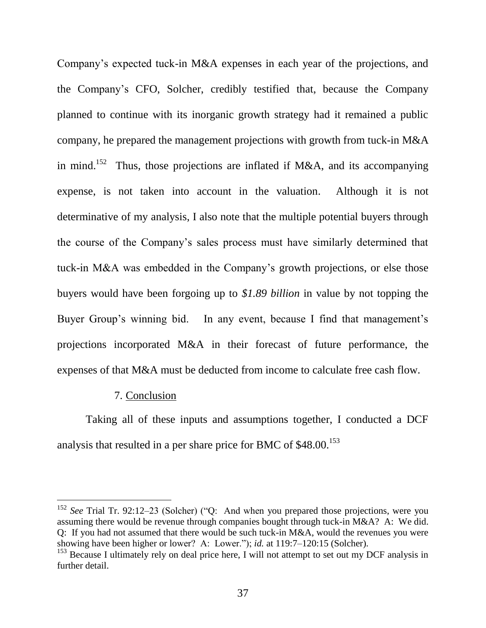Company's expected tuck-in M&A expenses in each year of the projections, and the Company's CFO, Solcher, credibly testified that, because the Company planned to continue with its inorganic growth strategy had it remained a public company, he prepared the management projections with growth from tuck-in M&A in mind.<sup>152</sup> Thus, those projections are inflated if M&A, and its accompanying expense, is not taken into account in the valuation. Although it is not determinative of my analysis, I also note that the multiple potential buyers through the course of the Company's sales process must have similarly determined that tuck-in M&A was embedded in the Company's growth projections, or else those buyers would have been forgoing up to *\$1.89 billion* in value by not topping the Buyer Group's winning bid. In any event, because I find that management's projections incorporated M&A in their forecast of future performance, the expenses of that M&A must be deducted from income to calculate free cash flow.

#### 7. Conclusion

 $\overline{a}$ 

Taking all of these inputs and assumptions together, I conducted a DCF analysis that resulted in a per share price for BMC of \$48.00.<sup>153</sup>

 $152$  *See* Trial Tr. 92:12–23 (Solcher) ("Q: And when you prepared those projections, were you assuming there would be revenue through companies bought through tuck-in M&A? A: We did. Q: If you had not assumed that there would be such tuck-in M&A, would the revenues you were showing have been higher or lower? A: Lower."); *id.* at 119:7–120:15 (Solcher).

 $153$  Because I ultimately rely on deal price here, I will not attempt to set out my DCF analysis in further detail.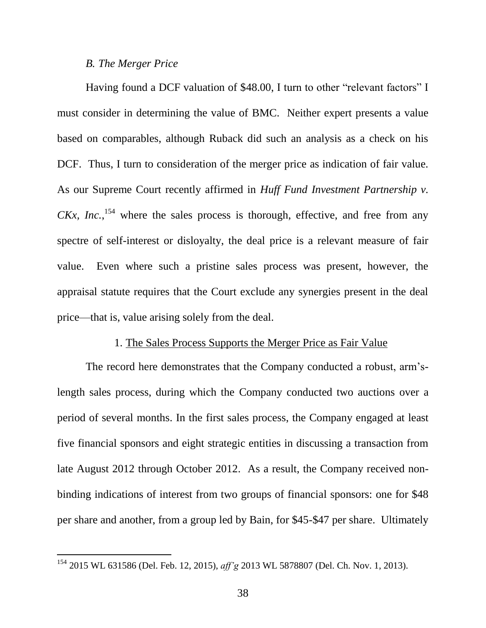#### *B. The Merger Price*

 $\overline{a}$ 

Having found a DCF valuation of \$48.00, I turn to other "relevant factors" I must consider in determining the value of BMC. Neither expert presents a value based on comparables, although Ruback did such an analysis as a check on his DCF. Thus, I turn to consideration of the merger price as indication of fair value. As our Supreme Court recently affirmed in *Huff Fund Investment Partnership v.*   $CKx$ , *Inc.*<sup>154</sup> where the sales process is thorough, effective, and free from any spectre of self-interest or disloyalty, the deal price is a relevant measure of fair value. Even where such a pristine sales process was present, however, the appraisal statute requires that the Court exclude any synergies present in the deal price—that is, value arising solely from the deal.

#### 1. The Sales Process Supports the Merger Price as Fair Value

The record here demonstrates that the Company conducted a robust, arm'slength sales process, during which the Company conducted two auctions over a period of several months. In the first sales process, the Company engaged at least five financial sponsors and eight strategic entities in discussing a transaction from late August 2012 through October 2012. As a result, the Company received nonbinding indications of interest from two groups of financial sponsors: one for \$48 per share and another, from a group led by Bain, for \$45-\$47 per share. Ultimately

<sup>154</sup> 2015 WL 631586 (Del. Feb. 12, 2015), *aff'g* 2013 WL 5878807 (Del. Ch. Nov. 1, 2013).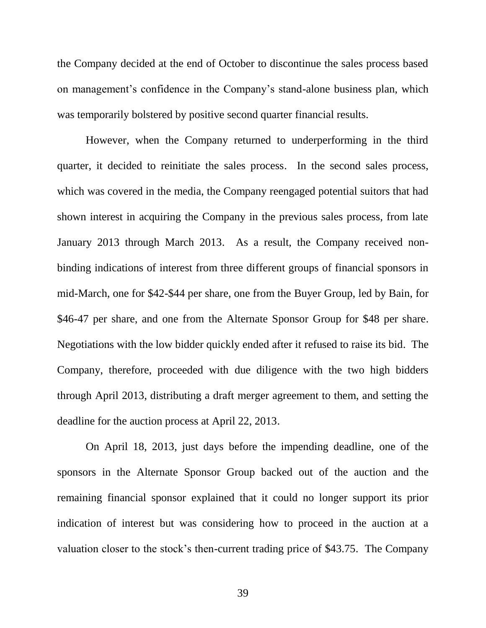the Company decided at the end of October to discontinue the sales process based on management's confidence in the Company's stand-alone business plan, which was temporarily bolstered by positive second quarter financial results.

However, when the Company returned to underperforming in the third quarter, it decided to reinitiate the sales process. In the second sales process, which was covered in the media, the Company reengaged potential suitors that had shown interest in acquiring the Company in the previous sales process, from late January 2013 through March 2013. As a result, the Company received nonbinding indications of interest from three different groups of financial sponsors in mid-March, one for \$42-\$44 per share, one from the Buyer Group, led by Bain, for \$46-47 per share, and one from the Alternate Sponsor Group for \$48 per share. Negotiations with the low bidder quickly ended after it refused to raise its bid. The Company, therefore, proceeded with due diligence with the two high bidders through April 2013, distributing a draft merger agreement to them, and setting the deadline for the auction process at April 22, 2013.

On April 18, 2013, just days before the impending deadline, one of the sponsors in the Alternate Sponsor Group backed out of the auction and the remaining financial sponsor explained that it could no longer support its prior indication of interest but was considering how to proceed in the auction at a valuation closer to the stock's then-current trading price of \$43.75. The Company

39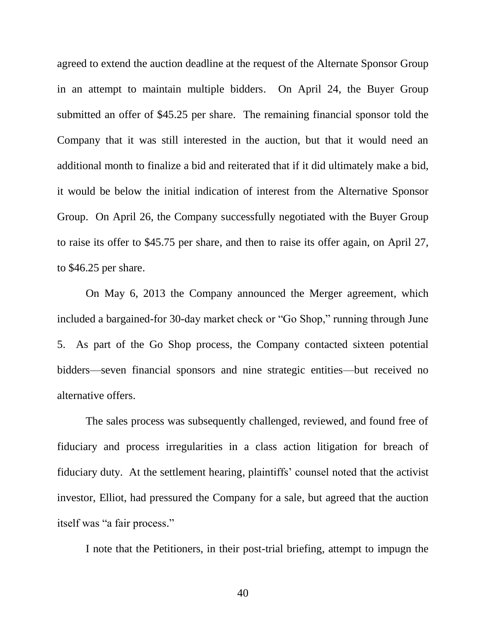agreed to extend the auction deadline at the request of the Alternate Sponsor Group in an attempt to maintain multiple bidders. On April 24, the Buyer Group submitted an offer of \$45.25 per share. The remaining financial sponsor told the Company that it was still interested in the auction, but that it would need an additional month to finalize a bid and reiterated that if it did ultimately make a bid, it would be below the initial indication of interest from the Alternative Sponsor Group. On April 26, the Company successfully negotiated with the Buyer Group to raise its offer to \$45.75 per share, and then to raise its offer again, on April 27, to \$46.25 per share.

On May 6, 2013 the Company announced the Merger agreement, which included a bargained-for 30-day market check or "Go Shop," running through June 5. As part of the Go Shop process, the Company contacted sixteen potential bidders—seven financial sponsors and nine strategic entities—but received no alternative offers.

The sales process was subsequently challenged, reviewed, and found free of fiduciary and process irregularities in a class action litigation for breach of fiduciary duty. At the settlement hearing, plaintiffs' counsel noted that the activist investor, Elliot, had pressured the Company for a sale, but agreed that the auction itself was "a fair process."

I note that the Petitioners, in their post-trial briefing, attempt to impugn the

40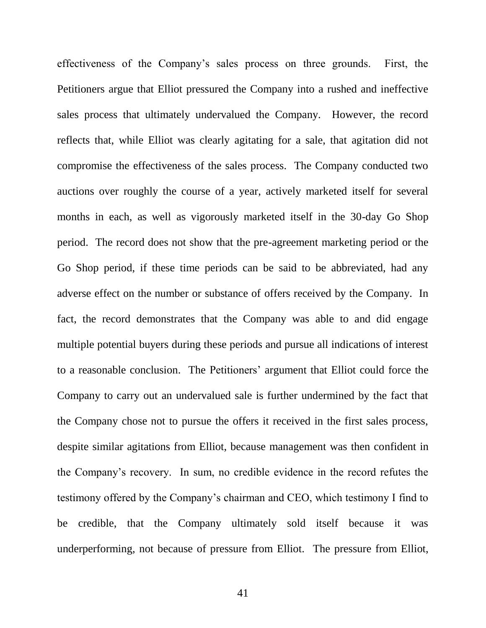effectiveness of the Company's sales process on three grounds. First, the Petitioners argue that Elliot pressured the Company into a rushed and ineffective sales process that ultimately undervalued the Company. However, the record reflects that, while Elliot was clearly agitating for a sale, that agitation did not compromise the effectiveness of the sales process. The Company conducted two auctions over roughly the course of a year, actively marketed itself for several months in each, as well as vigorously marketed itself in the 30-day Go Shop period. The record does not show that the pre-agreement marketing period or the Go Shop period, if these time periods can be said to be abbreviated, had any adverse effect on the number or substance of offers received by the Company. In fact, the record demonstrates that the Company was able to and did engage multiple potential buyers during these periods and pursue all indications of interest to a reasonable conclusion. The Petitioners' argument that Elliot could force the Company to carry out an undervalued sale is further undermined by the fact that the Company chose not to pursue the offers it received in the first sales process, despite similar agitations from Elliot, because management was then confident in the Company's recovery. In sum, no credible evidence in the record refutes the testimony offered by the Company's chairman and CEO, which testimony I find to be credible, that the Company ultimately sold itself because it was underperforming, not because of pressure from Elliot. The pressure from Elliot,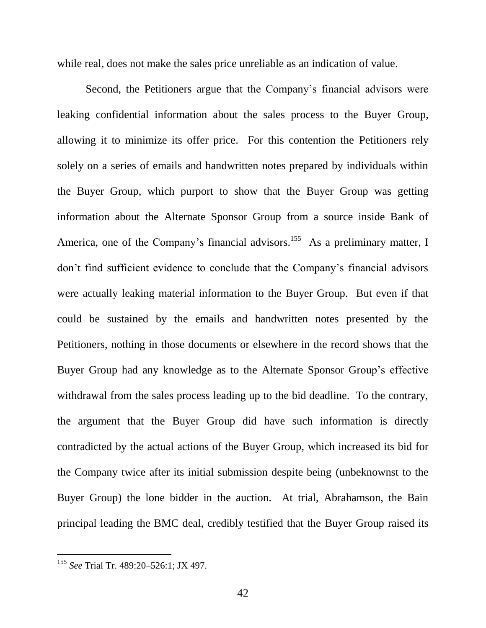while real, does not make the sales price unreliable as an indication of value.

Second, the Petitioners argue that the Company's financial advisors were leaking confidential information about the sales process to the Buyer Group, allowing it to minimize its offer price. For this contention the Petitioners rely solely on a series of emails and handwritten notes prepared by individuals within the Buyer Group, which purport to show that the Buyer Group was getting information about the Alternate Sponsor Group from a source inside Bank of America, one of the Company's financial advisors.<sup>155</sup> As a preliminary matter, I don't find sufficient evidence to conclude that the Company's financial advisors were actually leaking material information to the Buyer Group. But even if that could be sustained by the emails and handwritten notes presented by the Petitioners, nothing in those documents or elsewhere in the record shows that the Buyer Group had any knowledge as to the Alternate Sponsor Group's effective withdrawal from the sales process leading up to the bid deadline. To the contrary, the argument that the Buyer Group did have such information is directly contradicted by the actual actions of the Buyer Group, which increased its bid for the Company twice after its initial submission despite being (unbeknownst to the Buyer Group) the lone bidder in the auction. At trial, Abrahamson, the Bain principal leading the BMC deal, credibly testified that the Buyer Group raised its

<sup>155</sup> *See* Trial Tr. 489:20–526:1; JX 497.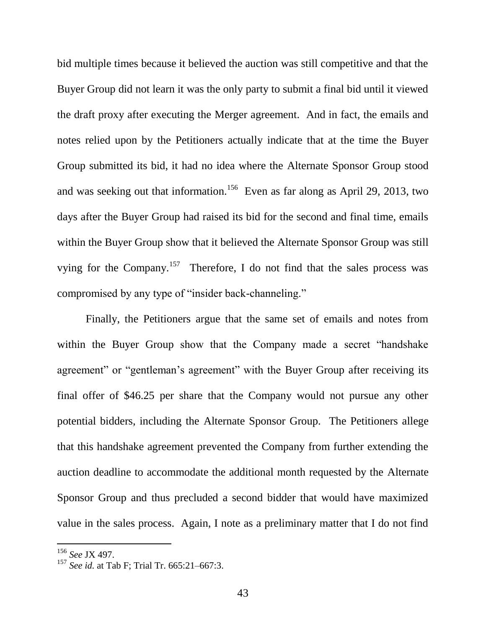bid multiple times because it believed the auction was still competitive and that the Buyer Group did not learn it was the only party to submit a final bid until it viewed the draft proxy after executing the Merger agreement. And in fact, the emails and notes relied upon by the Petitioners actually indicate that at the time the Buyer Group submitted its bid, it had no idea where the Alternate Sponsor Group stood and was seeking out that information.<sup>156</sup> Even as far along as April 29, 2013, two days after the Buyer Group had raised its bid for the second and final time, emails within the Buyer Group show that it believed the Alternate Sponsor Group was still vying for the Company.<sup>157</sup> Therefore, I do not find that the sales process was compromised by any type of "insider back-channeling."

Finally, the Petitioners argue that the same set of emails and notes from within the Buyer Group show that the Company made a secret "handshake" agreement" or "gentleman's agreement" with the Buyer Group after receiving its final offer of \$46.25 per share that the Company would not pursue any other potential bidders, including the Alternate Sponsor Group. The Petitioners allege that this handshake agreement prevented the Company from further extending the auction deadline to accommodate the additional month requested by the Alternate Sponsor Group and thus precluded a second bidder that would have maximized value in the sales process. Again, I note as a preliminary matter that I do not find

<sup>156</sup> *See* JX 497.

<sup>157</sup> *See id.* at Tab F; Trial Tr. 665:21–667:3.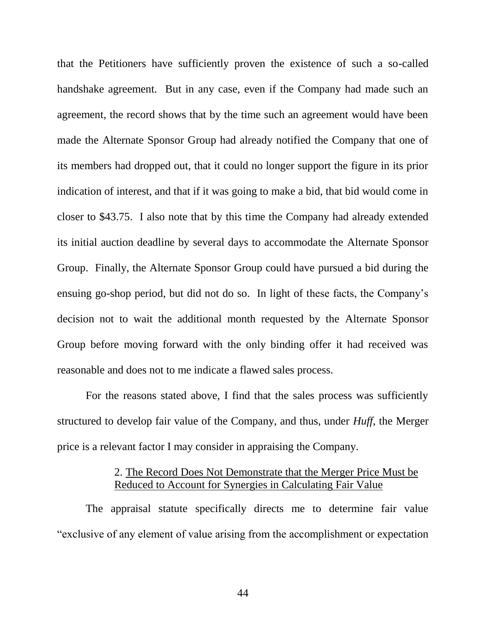that the Petitioners have sufficiently proven the existence of such a so-called handshake agreement. But in any case, even if the Company had made such an agreement, the record shows that by the time such an agreement would have been made the Alternate Sponsor Group had already notified the Company that one of its members had dropped out, that it could no longer support the figure in its prior indication of interest, and that if it was going to make a bid, that bid would come in closer to \$43.75. I also note that by this time the Company had already extended its initial auction deadline by several days to accommodate the Alternate Sponsor Group. Finally, the Alternate Sponsor Group could have pursued a bid during the ensuing go-shop period, but did not do so. In light of these facts, the Company's decision not to wait the additional month requested by the Alternate Sponsor Group before moving forward with the only binding offer it had received was reasonable and does not to me indicate a flawed sales process.

For the reasons stated above, I find that the sales process was sufficiently structured to develop fair value of the Company, and thus, under *Huff*, the Merger price is a relevant factor I may consider in appraising the Company.

### 2. The Record Does Not Demonstrate that the Merger Price Must be Reduced to Account for Synergies in Calculating Fair Value

The appraisal statute specifically directs me to determine fair value "exclusive of any element of value arising from the accomplishment or expectation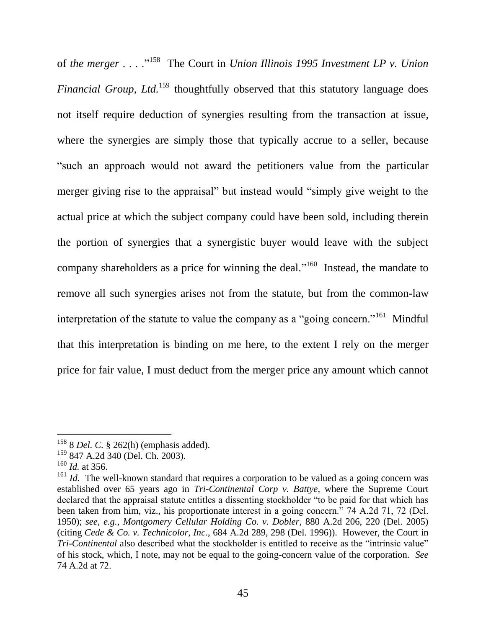of the merger . . . .<sup>.,158</sup> The Court in *Union Illinois* 1995 Investment LP v. Union *Financial Group, Ltd.*<sup>159</sup> thoughtfully observed that this statutory language does not itself require deduction of synergies resulting from the transaction at issue, where the synergies are simply those that typically accrue to a seller, because ―such an approach would not award the petitioners value from the particular merger giving rise to the appraisal" but instead would "simply give weight to the actual price at which the subject company could have been sold, including therein the portion of synergies that a synergistic buyer would leave with the subject company shareholders as a price for winning the deal."<sup>160</sup> Instead, the mandate to remove all such synergies arises not from the statute, but from the common-law interpretation of the statute to value the company as a "going concern."<sup>161</sup> Mindful that this interpretation is binding on me here, to the extent I rely on the merger price for fair value, I must deduct from the merger price any amount which cannot

<sup>158</sup> 8 *Del. C.* § 262(h) (emphasis added).

<sup>159</sup> 847 A.2d 340 (Del. Ch. 2003).

 $160$  *Id.* at 356.

<sup>&</sup>lt;sup>161</sup> *Id.* The well-known standard that requires a corporation to be valued as a going concern was established over 65 years ago in *Tri-Continental Corp v. Battye*, where the Supreme Court declared that the appraisal statute entitles a dissenting stockholder "to be paid for that which has been taken from him, viz., his proportionate interest in a going concern.<sup>7</sup> 74 A.2d 71, 72 (Del. 1950); *see, e.g.*, *Montgomery Cellular Holding Co. v. Dobler*, 880 A.2d 206, 220 (Del. 2005) (citing *Cede & Co. v. Technicolor, Inc.*, 684 A.2d 289, 298 (Del. 1996)). However, the Court in *Tri-Continental* also described what the stockholder is entitled to receive as the "intrinsic value" of his stock, which, I note, may not be equal to the going-concern value of the corporation. *See* 74 A.2d at 72.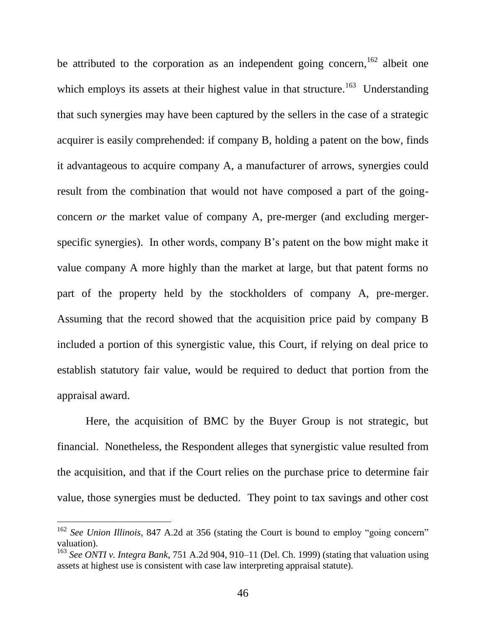be attributed to the corporation as an independent going concern,  $162$  albeit one which employs its assets at their highest value in that structure.<sup>163</sup> Understanding that such synergies may have been captured by the sellers in the case of a strategic acquirer is easily comprehended: if company B, holding a patent on the bow, finds it advantageous to acquire company A, a manufacturer of arrows, synergies could result from the combination that would not have composed a part of the goingconcern *or* the market value of company A, pre-merger (and excluding mergerspecific synergies). In other words, company B's patent on the bow might make it value company A more highly than the market at large, but that patent forms no part of the property held by the stockholders of company A, pre-merger. Assuming that the record showed that the acquisition price paid by company B included a portion of this synergistic value, this Court, if relying on deal price to establish statutory fair value, would be required to deduct that portion from the appraisal award.

Here, the acquisition of BMC by the Buyer Group is not strategic, but financial. Nonetheless, the Respondent alleges that synergistic value resulted from the acquisition, and that if the Court relies on the purchase price to determine fair value, those synergies must be deducted. They point to tax savings and other cost

<sup>&</sup>lt;sup>162</sup> *See Union Illinois*, 847 A.2d at 356 (stating the Court is bound to employ "going concern" valuation).

<sup>163</sup> *See ONTI v. Integra Bank*, 751 A.2d 904, 910–11 (Del. Ch. 1999) (stating that valuation using assets at highest use is consistent with case law interpreting appraisal statute).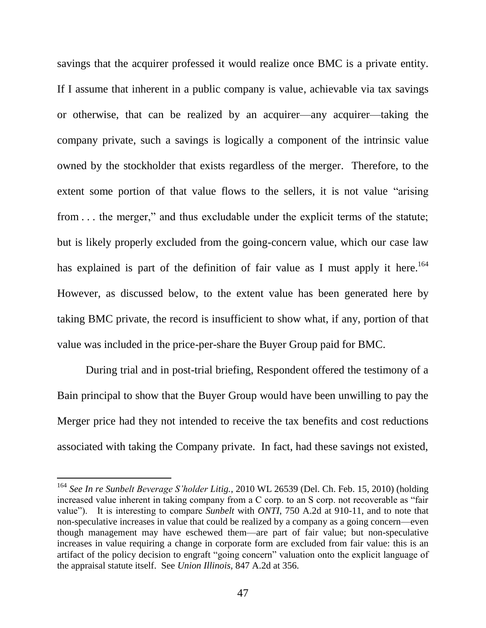savings that the acquirer professed it would realize once BMC is a private entity. If I assume that inherent in a public company is value, achievable via tax savings or otherwise, that can be realized by an acquirer—any acquirer—taking the company private, such a savings is logically a component of the intrinsic value owned by the stockholder that exists regardless of the merger. Therefore, to the extent some portion of that value flows to the sellers, it is not value "arising from  $\dots$  the merger," and thus excludable under the explicit terms of the statute; but is likely properly excluded from the going-concern value, which our case law has explained is part of the definition of fair value as I must apply it here.<sup>164</sup> However, as discussed below, to the extent value has been generated here by taking BMC private, the record is insufficient to show what, if any, portion of that value was included in the price-per-share the Buyer Group paid for BMC.

During trial and in post-trial briefing, Respondent offered the testimony of a Bain principal to show that the Buyer Group would have been unwilling to pay the Merger price had they not intended to receive the tax benefits and cost reductions associated with taking the Company private. In fact, had these savings not existed,

<sup>164</sup> *See In re Sunbelt Beverage S'holder Litig.*, 2010 WL 26539 (Del. Ch. Feb. 15, 2010) (holding increased value inherent in taking company from a  $C$  corp. to an  $S$  corp. not recoverable as "fair value"). It is interesting to compare *Sunbelt* with *ONTI*, 750 A.2d at 910-11, and to note that non-speculative increases in value that could be realized by a company as a going concern—even though management may have eschewed them—are part of fair value; but non-speculative increases in value requiring a change in corporate form are excluded from fair value: this is an artifact of the policy decision to engraft "going concern" valuation onto the explicit language of the appraisal statute itself. See *Union Illinois,* 847 A.2d at 356.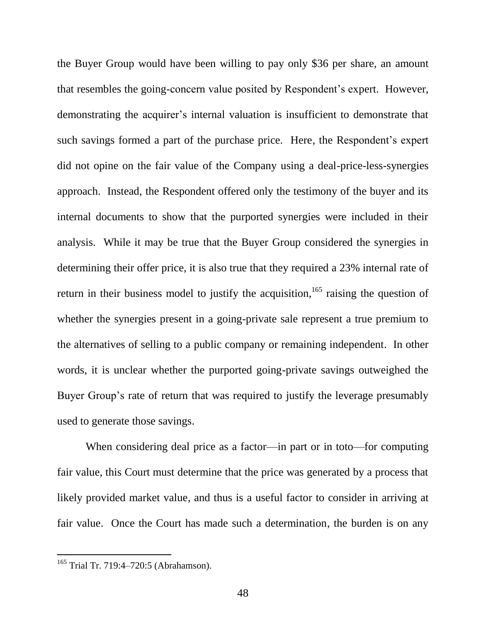the Buyer Group would have been willing to pay only \$36 per share, an amount that resembles the going-concern value posited by Respondent's expert. However, demonstrating the acquirer's internal valuation is insufficient to demonstrate that such savings formed a part of the purchase price. Here, the Respondent's expert did not opine on the fair value of the Company using a deal-price-less-synergies approach. Instead, the Respondent offered only the testimony of the buyer and its internal documents to show that the purported synergies were included in their analysis. While it may be true that the Buyer Group considered the synergies in determining their offer price, it is also true that they required a 23% internal rate of return in their business model to justify the acquisition,<sup>165</sup> raising the question of whether the synergies present in a going-private sale represent a true premium to the alternatives of selling to a public company or remaining independent. In other words, it is unclear whether the purported going-private savings outweighed the Buyer Group's rate of return that was required to justify the leverage presumably used to generate those savings.

When considering deal price as a factor—in part or in toto—for computing fair value, this Court must determine that the price was generated by a process that likely provided market value, and thus is a useful factor to consider in arriving at fair value. Once the Court has made such a determination, the burden is on any

<sup>&</sup>lt;sup>165</sup> Trial Tr. 719:4-720:5 (Abrahamson).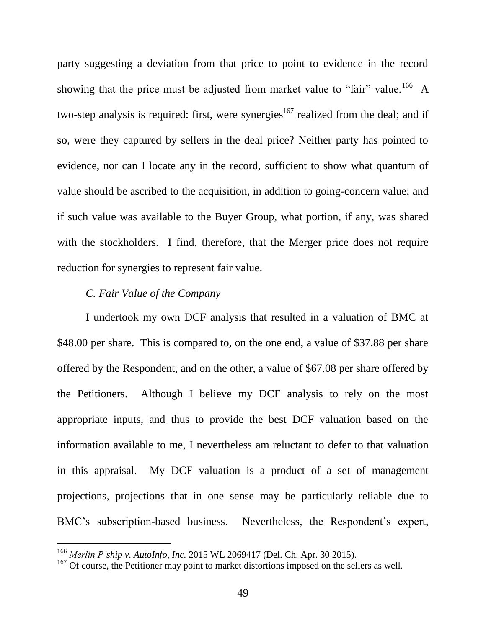party suggesting a deviation from that price to point to evidence in the record showing that the price must be adjusted from market value to "fair" value.<sup>166</sup> A two-step analysis is required: first, were synergies<sup>167</sup> realized from the deal; and if so, were they captured by sellers in the deal price? Neither party has pointed to evidence, nor can I locate any in the record, sufficient to show what quantum of value should be ascribed to the acquisition, in addition to going-concern value; and if such value was available to the Buyer Group, what portion, if any, was shared with the stockholders. I find, therefore, that the Merger price does not require reduction for synergies to represent fair value.

### *C. Fair Value of the Company*

l

I undertook my own DCF analysis that resulted in a valuation of BMC at \$48.00 per share. This is compared to, on the one end, a value of \$37.88 per share offered by the Respondent, and on the other, a value of \$67.08 per share offered by the Petitioners. Although I believe my DCF analysis to rely on the most appropriate inputs, and thus to provide the best DCF valuation based on the information available to me, I nevertheless am reluctant to defer to that valuation in this appraisal. My DCF valuation is a product of a set of management projections, projections that in one sense may be particularly reliable due to BMC's subscription-based business. Nevertheless, the Respondent's expert,

<sup>166</sup> *Merlin P'ship v. AutoInfo, Inc.* 2015 WL 2069417 (Del. Ch. Apr. 30 2015).

<sup>&</sup>lt;sup>167</sup> Of course, the Petitioner may point to market distortions imposed on the sellers as well.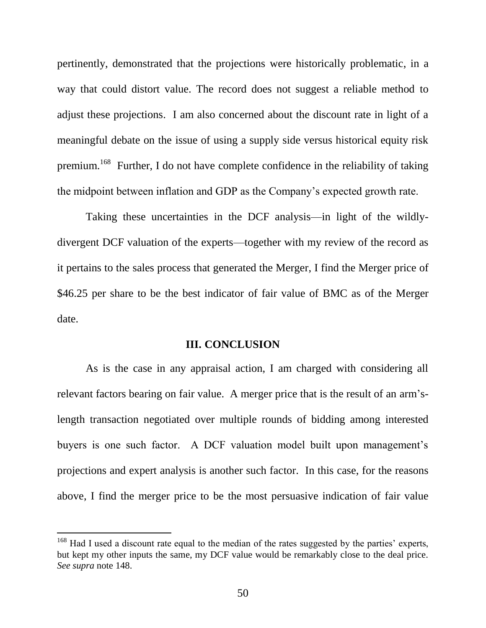pertinently, demonstrated that the projections were historically problematic, in a way that could distort value. The record does not suggest a reliable method to adjust these projections. I am also concerned about the discount rate in light of a meaningful debate on the issue of using a supply side versus historical equity risk premium.<sup>168</sup> Further, I do not have complete confidence in the reliability of taking the midpoint between inflation and GDP as the Company's expected growth rate.

Taking these uncertainties in the DCF analysis—in light of the wildlydivergent DCF valuation of the experts—together with my review of the record as it pertains to the sales process that generated the Merger, I find the Merger price of \$46.25 per share to be the best indicator of fair value of BMC as of the Merger date.

#### **III. CONCLUSION**

As is the case in any appraisal action, I am charged with considering all relevant factors bearing on fair value. A merger price that is the result of an arm'slength transaction negotiated over multiple rounds of bidding among interested buyers is one such factor. A DCF valuation model built upon management's projections and expert analysis is another such factor. In this case, for the reasons above, I find the merger price to be the most persuasive indication of fair value

 $168$  Had I used a discount rate equal to the median of the rates suggested by the parties' experts, but kept my other inputs the same, my DCF value would be remarkably close to the deal price. *See supra* note 148.